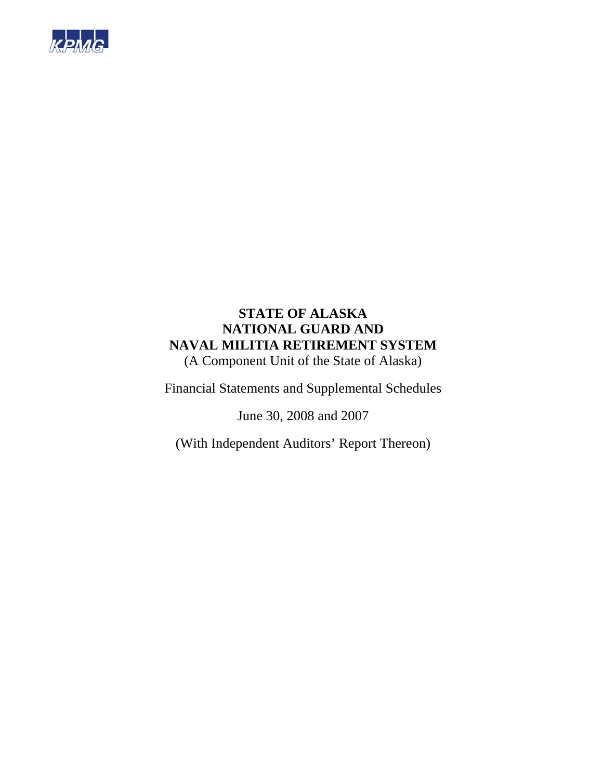

# **STATE OF ALASKA NATIONAL GUARD AND NAVAL MILITIA RETIREMENT SYSTEM**  (A Component Unit of the State of Alaska)

Financial Statements and Supplemental Schedules

June 30, 2008 and 2007

(With Independent Auditors' Report Thereon)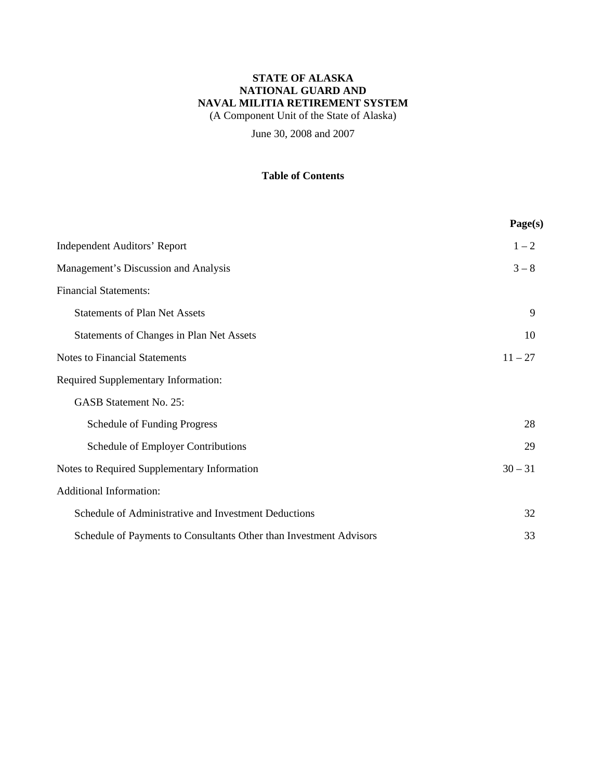(A Component Unit of the State of Alaska)

June 30, 2008 and 2007

## **Table of Contents**

|                                                                    | Page(s)   |
|--------------------------------------------------------------------|-----------|
| <b>Independent Auditors' Report</b>                                | $1 - 2$   |
| Management's Discussion and Analysis                               | $3 - 8$   |
| <b>Financial Statements:</b>                                       |           |
| <b>Statements of Plan Net Assets</b>                               | 9         |
| Statements of Changes in Plan Net Assets                           | 10        |
| <b>Notes to Financial Statements</b>                               | $11 - 27$ |
| <b>Required Supplementary Information:</b>                         |           |
| <b>GASB Statement No. 25:</b>                                      |           |
| <b>Schedule of Funding Progress</b>                                | 28        |
| Schedule of Employer Contributions                                 | 29        |
| Notes to Required Supplementary Information                        | $30 - 31$ |
| <b>Additional Information:</b>                                     |           |
| Schedule of Administrative and Investment Deductions               | 32        |
| Schedule of Payments to Consultants Other than Investment Advisors | 33        |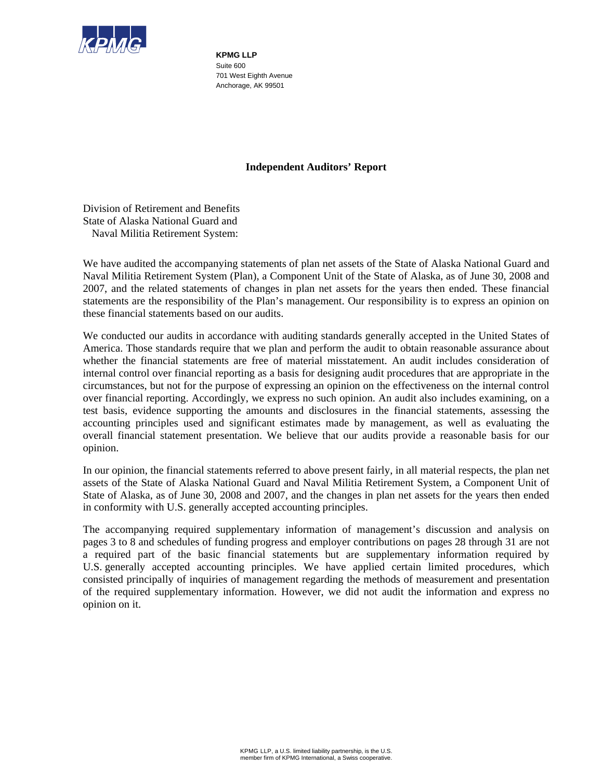

**KPMG LLP**  Suite 600 701 West Eighth Avenue Anchorage, AK 99501

### **Independent Auditors' Report**

Division of Retirement and Benefits State of Alaska National Guard and Naval Militia Retirement System:

We have audited the accompanying statements of plan net assets of the State of Alaska National Guard and Naval Militia Retirement System (Plan), a Component Unit of the State of Alaska, as of June 30, 2008 and 2007, and the related statements of changes in plan net assets for the years then ended. These financial statements are the responsibility of the Plan's management. Our responsibility is to express an opinion on these financial statements based on our audits.

We conducted our audits in accordance with auditing standards generally accepted in the United States of America. Those standards require that we plan and perform the audit to obtain reasonable assurance about whether the financial statements are free of material misstatement. An audit includes consideration of internal control over financial reporting as a basis for designing audit procedures that are appropriate in the circumstances, but not for the purpose of expressing an opinion on the effectiveness on the internal control over financial reporting. Accordingly, we express no such opinion. An audit also includes examining, on a test basis, evidence supporting the amounts and disclosures in the financial statements, assessing the accounting principles used and significant estimates made by management, as well as evaluating the overall financial statement presentation. We believe that our audits provide a reasonable basis for our opinion.

In our opinion, the financial statements referred to above present fairly, in all material respects, the plan net assets of the State of Alaska National Guard and Naval Militia Retirement System, a Component Unit of State of Alaska, as of June 30, 2008 and 2007, and the changes in plan net assets for the years then ended in conformity with U.S. generally accepted accounting principles.

The accompanying required supplementary information of management's discussion and analysis on pages 3 to 8 and schedules of funding progress and employer contributions on pages 28 through 31 are not a required part of the basic financial statements but are supplementary information required by U.S. generally accepted accounting principles. We have applied certain limited procedures, which consisted principally of inquiries of management regarding the methods of measurement and presentation of the required supplementary information. However, we did not audit the information and express no opinion on it.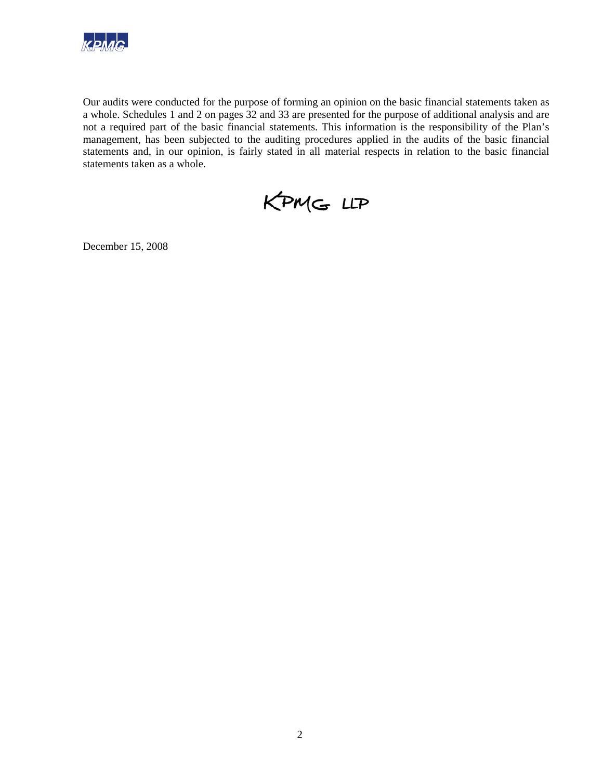

Our audits were conducted for the purpose of forming an opinion on the basic financial statements taken as a whole. Schedules 1 and 2 on pages 32 and 33 are presented for the purpose of additional analysis and are not a required part of the basic financial statements. This information is the responsibility of the Plan's management, has been subjected to the auditing procedures applied in the audits of the basic financial statements and, in our opinion, is fairly stated in all material respects in relation to the basic financial statements taken as a whole.

KPMG LLP

December 15, 2008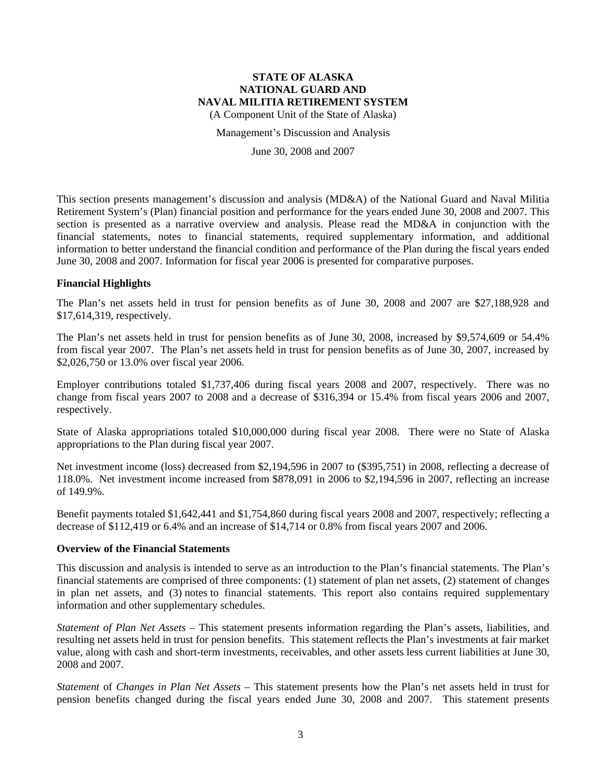(A Component Unit of the State of Alaska)

Management's Discussion and Analysis

June 30, 2008 and 2007

This section presents management's discussion and analysis (MD&A) of the National Guard and Naval Militia Retirement System's (Plan) financial position and performance for the years ended June 30, 2008 and 2007. This section is presented as a narrative overview and analysis. Please read the MD&A in conjunction with the financial statements, notes to financial statements, required supplementary information, and additional information to better understand the financial condition and performance of the Plan during the fiscal years ended June 30, 2008 and 2007. Information for fiscal year 2006 is presented for comparative purposes.

### **Financial Highlights**

The Plan's net assets held in trust for pension benefits as of June 30, 2008 and 2007 are \$27,188,928 and \$17,614,319, respectively.

The Plan's net assets held in trust for pension benefits as of June 30, 2008, increased by \$9,574,609 or 54.4% from fiscal year 2007. The Plan's net assets held in trust for pension benefits as of June 30, 2007, increased by \$2,026,750 or 13.0% over fiscal year 2006.

Employer contributions totaled \$1,737,406 during fiscal years 2008 and 2007, respectively. There was no change from fiscal years 2007 to 2008 and a decrease of \$316,394 or 15.4% from fiscal years 2006 and 2007, respectively.

State of Alaska appropriations totaled \$10,000,000 during fiscal year 2008. There were no State of Alaska appropriations to the Plan during fiscal year 2007.

Net investment income (loss) decreased from \$2,194,596 in 2007 to (\$395,751) in 2008, reflecting a decrease of 118.0%. Net investment income increased from \$878,091 in 2006 to \$2,194,596 in 2007, reflecting an increase of 149.9%.

Benefit payments totaled \$1,642,441 and \$1,754,860 during fiscal years 2008 and 2007, respectively; reflecting a decrease of \$112,419 or 6.4% and an increase of \$14,714 or 0.8% from fiscal years 2007 and 2006.

#### **Overview of the Financial Statements**

This discussion and analysis is intended to serve as an introduction to the Plan's financial statements. The Plan's financial statements are comprised of three components: (1) statement of plan net assets, (2) statement of changes in plan net assets, and (3) notes to financial statements. This report also contains required supplementary information and other supplementary schedules.

*Statement of Plan Net Assets* – This statement presents information regarding the Plan's assets, liabilities, and resulting net assets held in trust for pension benefits. This statement reflects the Plan's investments at fair market value, along with cash and short-term investments, receivables, and other assets less current liabilities at June 30, 2008 and 2007.

*Statement* of *Changes in Plan Net Assets* – This statement presents how the Plan's net assets held in trust for pension benefits changed during the fiscal years ended June 30, 2008 and 2007. This statement presents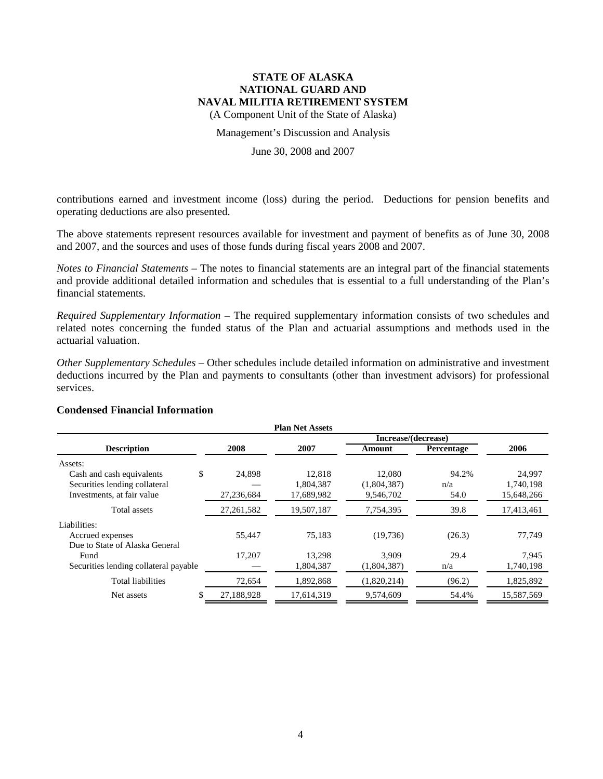(A Component Unit of the State of Alaska)

#### Management's Discussion and Analysis

### June 30, 2008 and 2007

contributions earned and investment income (loss) during the period. Deductions for pension benefits and operating deductions are also presented.

The above statements represent resources available for investment and payment of benefits as of June 30, 2008 and 2007, and the sources and uses of those funds during fiscal years 2008 and 2007.

*Notes to Financial Statements* – The notes to financial statements are an integral part of the financial statements and provide additional detailed information and schedules that is essential to a full understanding of the Plan's financial statements.

*Required Supplementary Information* – The required supplementary information consists of two schedules and related notes concerning the funded status of the Plan and actuarial assumptions and methods used in the actuarial valuation.

*Other Supplementary Schedules* – Other schedules include detailed information on administrative and investment deductions incurred by the Plan and payments to consultants (other than investment advisors) for professional services.

### **Plan Net Assets Increase/(decrease) Description 2008 2007 Amount Percentage 2006** Assets: Cash and cash equivalents  $$ 24,898 12,818 12,080 94.2\% 24,997$ Securities lending collateral — 1,804,387 (1,804,387) n/a 1,740,198 Investments, at fair value 27,236,684 17,689,982 9,546,702 54.0 15,648,266 Total assets 27,261,582 19,507,187 7,754,395 39.8 17,413,461 Liabilities: Accrued expenses 65,447 55,447 75,183 (19,736) (26.3) 77,749 Due to State of Alaska General Fund 17,207 13,298 3,909 29.4 7,945 Securities lending collateral payable — 1,804,387 (1,804,387) n/a 1,740,198 Total liabilities 72,654 1,892,868 (1,820,214) (96.2) 1,825,892 Net assets  $\begin{array}{cccc} \text{$} & 27,188,928 & 17,614,319 & 9,574,609 \end{array}$  54.4% 15,587,569

#### **Condensed Financial Information**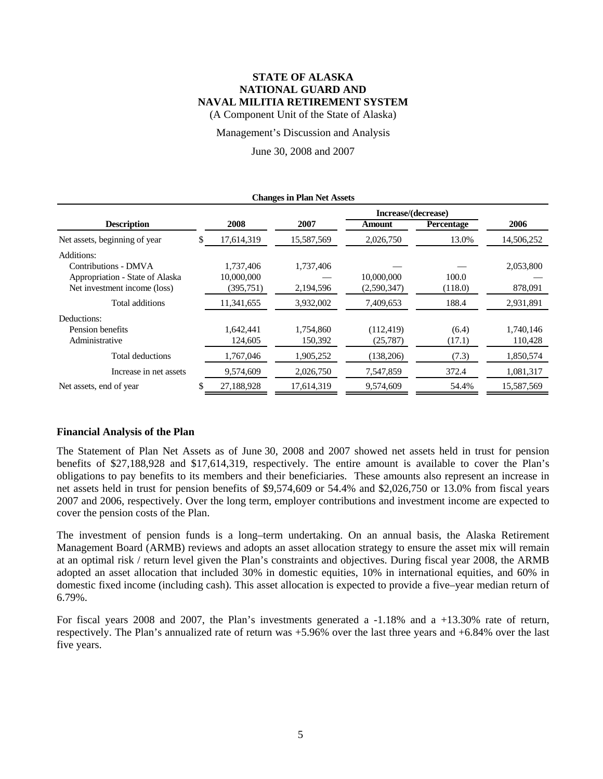(A Component Unit of the State of Alaska)

#### Management's Discussion and Analysis

June 30, 2008 and 2007

| <b>Changes in Plan Net Assets</b> |    |            |            |               |                   |            |
|-----------------------------------|----|------------|------------|---------------|-------------------|------------|
| Increase/(decrease)               |    |            |            |               |                   |            |
| <b>Description</b>                |    | 2008       | 2007       | <b>Amount</b> | <b>Percentage</b> | 2006       |
| Net assets, beginning of year     | \$ | 17,614,319 | 15,587,569 | 2,026,750     | 13.0%             | 14,506,252 |
| Additions:                        |    |            |            |               |                   |            |
| Contributions - DMVA              |    | 1,737,406  | 1,737,406  |               |                   | 2,053,800  |
| Appropriation - State of Alaska   |    | 10,000,000 |            | 10,000,000    | 100.0             |            |
| Net investment income (loss)      |    | (395, 751) | 2,194,596  | (2,590,347)   | (118.0)           | 878,091    |
| Total additions                   |    | 11,341,655 | 3,932,002  | 7,409,653     | 188.4             | 2,931,891  |
| Deductions:                       |    |            |            |               |                   |            |
| Pension benefits                  |    | 1.642.441  | 1.754.860  | (112, 419)    | (6.4)             | 1,740,146  |
| Administrative                    |    | 124,605    | 150,392    | (25, 787)     | (17.1)            | 110,428    |
| Total deductions                  |    | 1,767,046  | 1,905,252  | (138,206)     | (7.3)             | 1,850,574  |
| Increase in net assets            |    | 9,574,609  | 2,026,750  | 7,547,859     | 372.4             | 1,081,317  |
| Net assets, end of year           |    | 27,188,928 | 17,614,319 | 9,574,609     | 54.4%             | 15,587,569 |

#### **Financial Analysis of the Plan**

The Statement of Plan Net Assets as of June 30, 2008 and 2007 showed net assets held in trust for pension benefits of \$27,188,928 and \$17,614,319, respectively. The entire amount is available to cover the Plan's obligations to pay benefits to its members and their beneficiaries. These amounts also represent an increase in net assets held in trust for pension benefits of \$9,574,609 or 54.4% and \$2,026,750 or 13.0% from fiscal years 2007 and 2006, respectively. Over the long term, employer contributions and investment income are expected to cover the pension costs of the Plan.

The investment of pension funds is a long–term undertaking. On an annual basis, the Alaska Retirement Management Board (ARMB) reviews and adopts an asset allocation strategy to ensure the asset mix will remain at an optimal risk / return level given the Plan's constraints and objectives. During fiscal year 2008, the ARMB adopted an asset allocation that included 30% in domestic equities, 10% in international equities, and 60% in domestic fixed income (including cash). This asset allocation is expected to provide a five–year median return of 6.79%.

For fiscal years 2008 and 2007, the Plan's investments generated a -1.18% and a +13.30% rate of return, respectively. The Plan's annualized rate of return was +5.96% over the last three years and +6.84% over the last five years.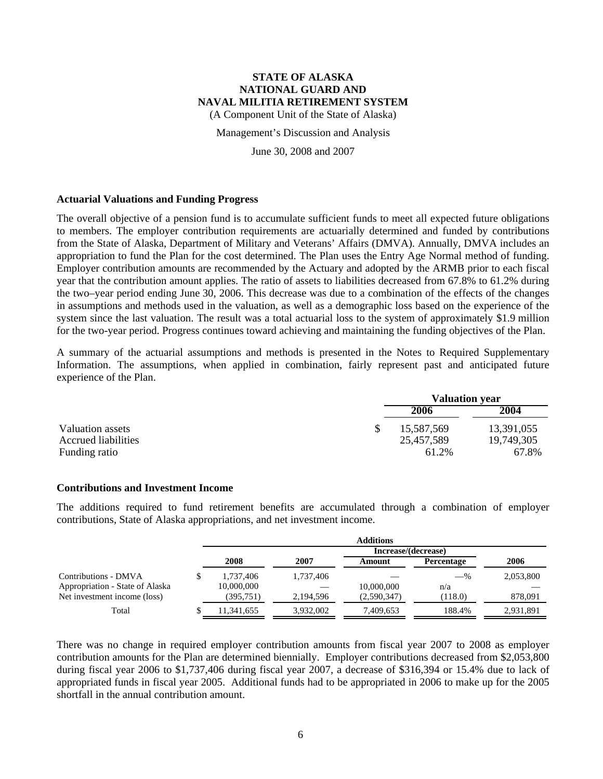(A Component Unit of the State of Alaska)

Management's Discussion and Analysis

June 30, 2008 and 2007

#### **Actuarial Valuations and Funding Progress**

The overall objective of a pension fund is to accumulate sufficient funds to meet all expected future obligations to members. The employer contribution requirements are actuarially determined and funded by contributions from the State of Alaska, Department of Military and Veterans' Affairs (DMVA). Annually, DMVA includes an appropriation to fund the Plan for the cost determined. The Plan uses the Entry Age Normal method of funding. Employer contribution amounts are recommended by the Actuary and adopted by the ARMB prior to each fiscal year that the contribution amount applies. The ratio of assets to liabilities decreased from 67.8% to 61.2% during the two–year period ending June 30, 2006. This decrease was due to a combination of the effects of the changes in assumptions and methods used in the valuation, as well as a demographic loss based on the experience of the system since the last valuation. The result was a total actuarial loss to the system of approximately \$1.9 million for the two-year period. Progress continues toward achieving and maintaining the funding objectives of the Plan.

A summary of the actuarial assumptions and methods is presented in the Notes to Required Supplementary Information. The assumptions, when applied in combination, fairly represent past and anticipated future experience of the Plan.

|                     | <b>Valuation year</b> |            |  |
|---------------------|-----------------------|------------|--|
|                     | 2006                  | 2004       |  |
| Valuation assets    | 15,587,569            | 13,391,055 |  |
| Accrued liabilities | 25,457,589            | 19,749,305 |  |
| Funding ratio       | 61.2%                 | 67.8%      |  |

#### **Contributions and Investment Income**

The additions required to fund retirement benefits are accumulated through a combination of employer contributions, State of Alaska appropriations, and net investment income.

|                                 | <b>Additions</b> |           |                     |            |           |
|---------------------------------|------------------|-----------|---------------------|------------|-----------|
|                                 |                  |           | Increase/(decrease) |            |           |
|                                 | 2008             | 2007      | Amount              | Percentage | 2006      |
| Contributions - DMVA            | 1,737,406        | 1,737,406 |                     | $-$ %      | 2,053,800 |
| Appropriation - State of Alaska | 10,000,000       |           | 10,000,000          | n/a        |           |
| Net investment income (loss)    | (395, 751)       | 2,194,596 | (2,590,347)         | (118.0)    | 878,091   |
| Total                           | 11,341,655       | 3.932.002 | 7,409,653           | 188.4%     | 2,931,891 |

There was no change in required employer contribution amounts from fiscal year 2007 to 2008 as employer contribution amounts for the Plan are determined biennially. Employer contributions decreased from \$2,053,800 during fiscal year 2006 to \$1,737,406 during fiscal year 2007, a decrease of \$316,394 or 15.4% due to lack of appropriated funds in fiscal year 2005. Additional funds had to be appropriated in 2006 to make up for the 2005 shortfall in the annual contribution amount.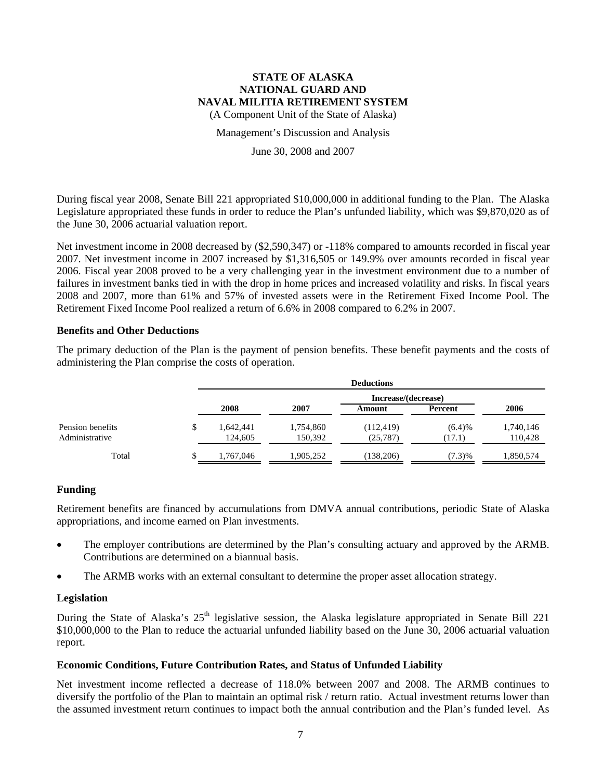(A Component Unit of the State of Alaska)

#### Management's Discussion and Analysis

#### June 30, 2008 and 2007

During fiscal year 2008, Senate Bill 221 appropriated \$10,000,000 in additional funding to the Plan. The Alaska Legislature appropriated these funds in order to reduce the Plan's unfunded liability, which was \$9,870,020 as of the June 30, 2006 actuarial valuation report.

Net investment income in 2008 decreased by (\$2,590,347) or -118% compared to amounts recorded in fiscal year 2007. Net investment income in 2007 increased by \$1,316,505 or 149.9% over amounts recorded in fiscal year 2006. Fiscal year 2008 proved to be a very challenging year in the investment environment due to a number of failures in investment banks tied in with the drop in home prices and increased volatility and risks. In fiscal years 2008 and 2007, more than 61% and 57% of invested assets were in the Retirement Fixed Income Pool. The Retirement Fixed Income Pool realized a return of 6.6% in 2008 compared to 6.2% in 2007.

### **Benefits and Other Deductions**

The primary deduction of the Plan is the payment of pension benefits. These benefit payments and the costs of administering the Plan comprise the costs of operation.

|                                    |    | <b>Deductions</b>    |                      |                         |                  |                      |  |
|------------------------------------|----|----------------------|----------------------|-------------------------|------------------|----------------------|--|
|                                    |    | Increase/(decrease)  |                      |                         |                  |                      |  |
|                                    |    | 2008                 | 2007                 | Amount                  | Percent          | 2006                 |  |
| Pension benefits<br>Administrative |    | 1,642,441<br>124,605 | 1,754,860<br>150,392 | (112, 419)<br>(25, 787) | (6.4)%<br>(17.1) | 1,740,146<br>110,428 |  |
| Total                              | ۰Π | 1.767.046            | 1.905.252            | (138, 206)              | (7.3)%           | 1,850,574            |  |

### **Funding**

Retirement benefits are financed by accumulations from DMVA annual contributions, periodic State of Alaska appropriations, and income earned on Plan investments.

- The employer contributions are determined by the Plan's consulting actuary and approved by the ARMB. Contributions are determined on a biannual basis.
- The ARMB works with an external consultant to determine the proper asset allocation strategy.

### **Legislation**

During the State of Alaska's 25<sup>th</sup> legislative session, the Alaska legislature appropriated in Senate Bill 221 \$10,000,000 to the Plan to reduce the actuarial unfunded liability based on the June 30, 2006 actuarial valuation report.

### **Economic Conditions, Future Contribution Rates, and Status of Unfunded Liability**

Net investment income reflected a decrease of 118.0% between 2007 and 2008. The ARMB continues to diversify the portfolio of the Plan to maintain an optimal risk / return ratio. Actual investment returns lower than the assumed investment return continues to impact both the annual contribution and the Plan's funded level. As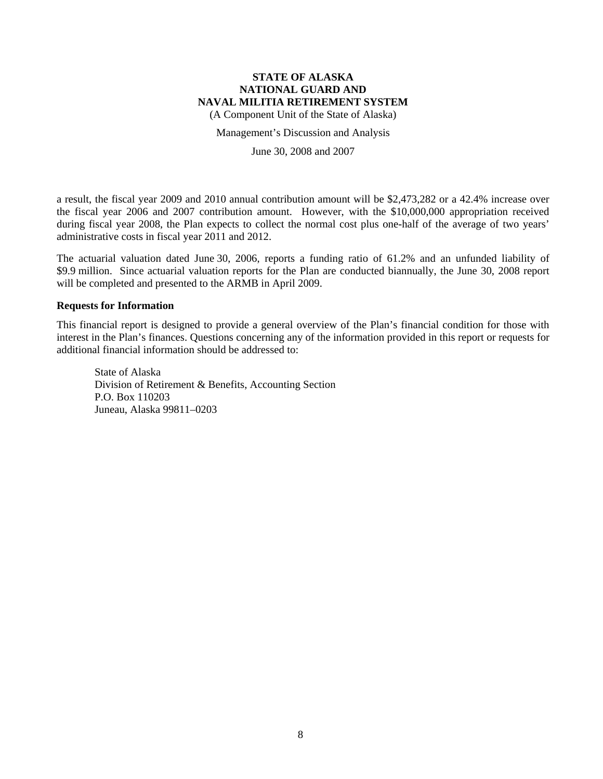(A Component Unit of the State of Alaska)

Management's Discussion and Analysis

June 30, 2008 and 2007

a result, the fiscal year 2009 and 2010 annual contribution amount will be \$2,473,282 or a 42.4% increase over the fiscal year 2006 and 2007 contribution amount. However, with the \$10,000,000 appropriation received during fiscal year 2008, the Plan expects to collect the normal cost plus one-half of the average of two years' administrative costs in fiscal year 2011 and 2012.

The actuarial valuation dated June 30, 2006, reports a funding ratio of 61.2% and an unfunded liability of \$9.9 million. Since actuarial valuation reports for the Plan are conducted biannually, the June 30, 2008 report will be completed and presented to the ARMB in April 2009.

#### **Requests for Information**

This financial report is designed to provide a general overview of the Plan's financial condition for those with interest in the Plan's finances. Questions concerning any of the information provided in this report or requests for additional financial information should be addressed to:

State of Alaska Division of Retirement & Benefits, Accounting Section P.O. Box 110203 Juneau, Alaska 99811–0203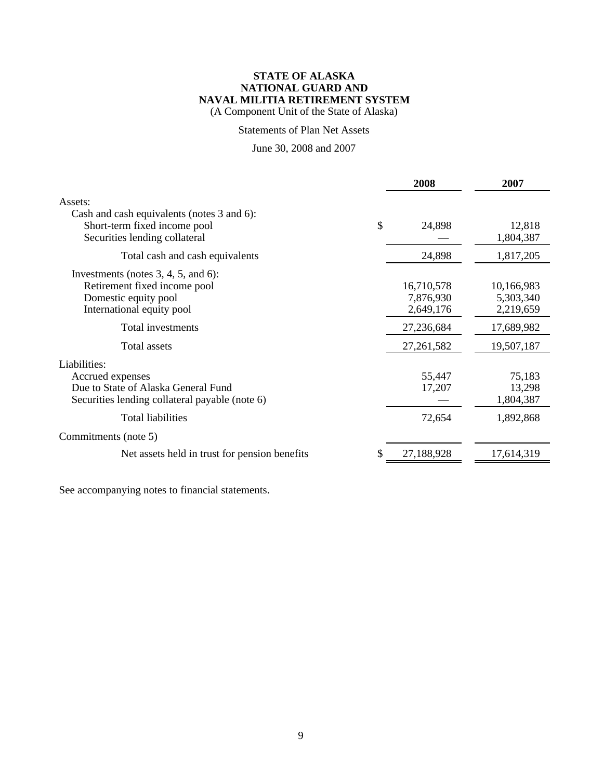(A Component Unit of the State of Alaska)

### Statements of Plan Net Assets

# June 30, 2008 and 2007

|                                                                                                                             | 2008                                 | 2007                                 |
|-----------------------------------------------------------------------------------------------------------------------------|--------------------------------------|--------------------------------------|
| Assets:<br>Cash and cash equivalents (notes 3 and 6):<br>Short-term fixed income pool<br>Securities lending collateral      | \$<br>24,898                         | 12,818<br>1,804,387                  |
| Total cash and cash equivalents                                                                                             | 24,898                               | 1,817,205                            |
| Investments (notes $3, 4, 5$ , and 6):<br>Retirement fixed income pool<br>Domestic equity pool<br>International equity pool | 16,710,578<br>7,876,930<br>2,649,176 | 10,166,983<br>5,303,340<br>2,219,659 |
| Total investments                                                                                                           | 27,236,684                           | 17,689,982                           |
| <b>Total assets</b>                                                                                                         | 27,261,582                           | 19,507,187                           |
| Liabilities:<br>Accrued expenses<br>Due to State of Alaska General Fund<br>Securities lending collateral payable (note 6)   | 55,447<br>17,207                     | 75,183<br>13,298<br>1,804,387        |
| <b>Total liabilities</b>                                                                                                    | 72,654                               | 1,892,868                            |
| Commitments (note 5)                                                                                                        |                                      |                                      |
| Net assets held in trust for pension benefits                                                                               | 27,188,928                           | 17,614,319                           |
|                                                                                                                             |                                      |                                      |

See accompanying notes to financial statements.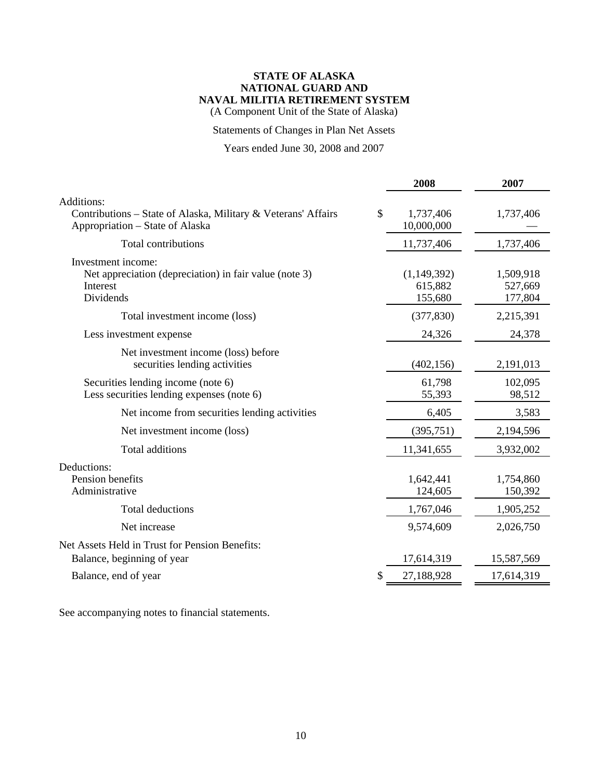(A Component Unit of the State of Alaska)

# Statements of Changes in Plan Net Assets

# Years ended June 30, 2008 and 2007

|                                                                                                                | 2008                              | 2007                            |
|----------------------------------------------------------------------------------------------------------------|-----------------------------------|---------------------------------|
| Additions:<br>Contributions - State of Alaska, Military & Veterans' Affairs<br>Appropriation – State of Alaska | \$<br>1,737,406<br>10,000,000     | 1,737,406                       |
| <b>Total contributions</b>                                                                                     | 11,737,406                        | 1,737,406                       |
| Investment income:<br>Net appreciation (depreciation) in fair value (note 3)<br>Interest<br>Dividends          | (1,149,392)<br>615,882<br>155,680 | 1,509,918<br>527,669<br>177,804 |
| Total investment income (loss)                                                                                 | (377, 830)                        | 2,215,391                       |
| Less investment expense                                                                                        | 24,326                            | 24,378                          |
| Net investment income (loss) before<br>securities lending activities                                           | (402, 156)                        | 2,191,013                       |
| Securities lending income (note 6)<br>Less securities lending expenses (note 6)                                | 61,798<br>55,393                  | 102,095<br>98,512               |
| Net income from securities lending activities                                                                  | 6,405                             | 3,583                           |
| Net investment income (loss)                                                                                   | (395,751)                         | 2,194,596                       |
| Total additions                                                                                                | 11,341,655                        | 3,932,002                       |
| Deductions:<br>Pension benefits<br>Administrative                                                              | 1,642,441<br>124,605              | 1,754,860<br>150,392            |
| Total deductions                                                                                               | 1,767,046                         | 1,905,252                       |
| Net increase                                                                                                   | 9,574,609                         | 2,026,750                       |
| Net Assets Held in Trust for Pension Benefits:<br>Balance, beginning of year                                   | 17,614,319                        | 15,587,569                      |
| Balance, end of year                                                                                           | 27,188,928                        | 17,614,319                      |
|                                                                                                                |                                   |                                 |

See accompanying notes to financial statements.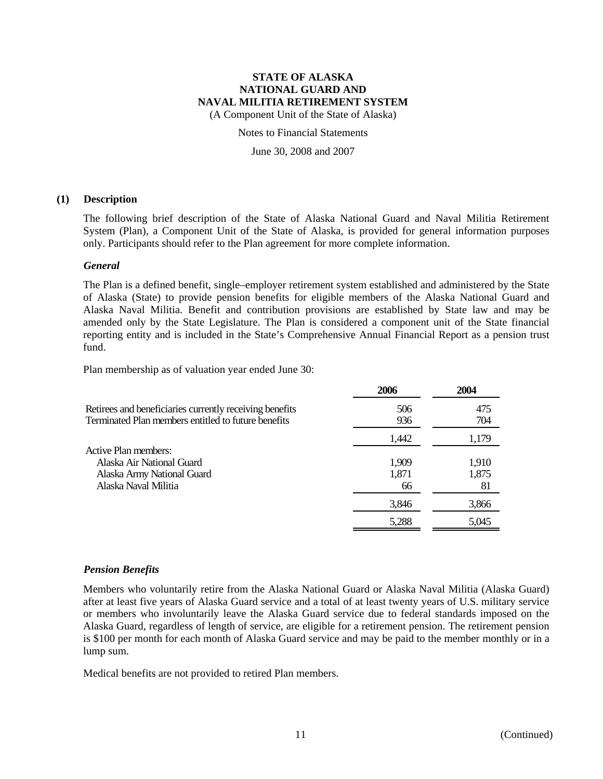(A Component Unit of the State of Alaska)

Notes to Financial Statements

June 30, 2008 and 2007

#### **(1) Description**

The following brief description of the State of Alaska National Guard and Naval Militia Retirement System (Plan), a Component Unit of the State of Alaska, is provided for general information purposes only. Participants should refer to the Plan agreement for more complete information.

### *General*

The Plan is a defined benefit, single–employer retirement system established and administered by the State of Alaska (State) to provide pension benefits for eligible members of the Alaska National Guard and Alaska Naval Militia. Benefit and contribution provisions are established by State law and may be amended only by the State Legislature. The Plan is considered a component unit of the State financial reporting entity and is included in the State's Comprehensive Annual Financial Report as a pension trust fund.

Plan membership as of valuation year ended June 30:

|                                                         | 2006  | 2004  |
|---------------------------------------------------------|-------|-------|
| Retirees and beneficiaries currently receiving benefits | 506   | 475   |
| Terminated Plan members entitled to future benefits     | 936   | 704   |
|                                                         | 1,442 | 1,179 |
| Active Plan members:                                    |       |       |
| Alaska Air National Guard                               | 1,909 | 1,910 |
| Alaska Army National Guard                              | 1,871 | 1,875 |
| Alaska Naval Militia                                    | 66    | 81    |
|                                                         | 3,846 | 3,866 |
|                                                         | 5,288 | 5,045 |
|                                                         |       |       |

### *Pension Benefits*

Members who voluntarily retire from the Alaska National Guard or Alaska Naval Militia (Alaska Guard) after at least five years of Alaska Guard service and a total of at least twenty years of U.S. military service or members who involuntarily leave the Alaska Guard service due to federal standards imposed on the Alaska Guard, regardless of length of service, are eligible for a retirement pension. The retirement pension is \$100 per month for each month of Alaska Guard service and may be paid to the member monthly or in a lump sum.

Medical benefits are not provided to retired Plan members.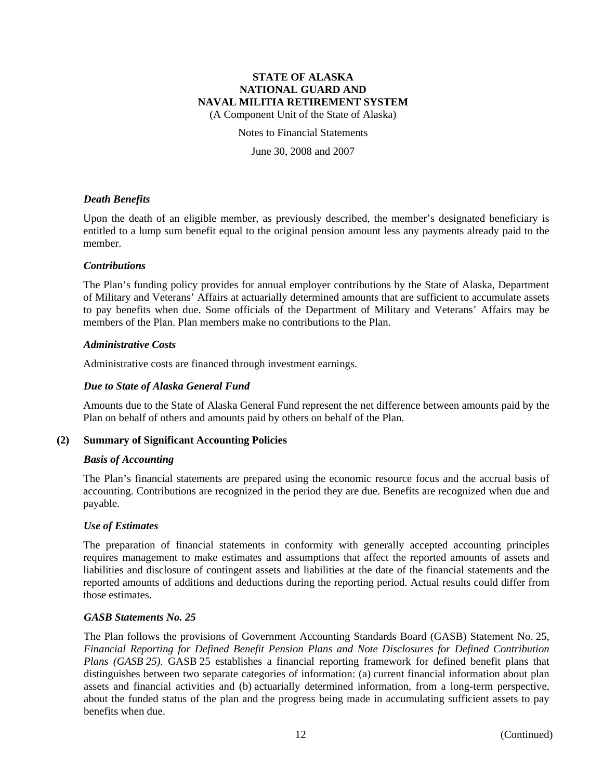(A Component Unit of the State of Alaska)

#### Notes to Financial Statements

June 30, 2008 and 2007

### *Death Benefits*

Upon the death of an eligible member, as previously described, the member's designated beneficiary is entitled to a lump sum benefit equal to the original pension amount less any payments already paid to the member.

#### *Contributions*

The Plan's funding policy provides for annual employer contributions by the State of Alaska, Department of Military and Veterans' Affairs at actuarially determined amounts that are sufficient to accumulate assets to pay benefits when due. Some officials of the Department of Military and Veterans' Affairs may be members of the Plan. Plan members make no contributions to the Plan.

#### *Administrative Costs*

Administrative costs are financed through investment earnings.

### *Due to State of Alaska General Fund*

Amounts due to the State of Alaska General Fund represent the net difference between amounts paid by the Plan on behalf of others and amounts paid by others on behalf of the Plan.

### **(2) Summary of Significant Accounting Policies**

#### *Basis of Accounting*

The Plan's financial statements are prepared using the economic resource focus and the accrual basis of accounting. Contributions are recognized in the period they are due. Benefits are recognized when due and payable.

#### *Use of Estimates*

The preparation of financial statements in conformity with generally accepted accounting principles requires management to make estimates and assumptions that affect the reported amounts of assets and liabilities and disclosure of contingent assets and liabilities at the date of the financial statements and the reported amounts of additions and deductions during the reporting period. Actual results could differ from those estimates.

#### *GASB Statements No. 25*

The Plan follows the provisions of Government Accounting Standards Board (GASB) Statement No. 25, *Financial Reporting for Defined Benefit Pension Plans and Note Disclosures for Defined Contribution Plans (GASB 25).* GASB 25 establishes a financial reporting framework for defined benefit plans that distinguishes between two separate categories of information: (a) current financial information about plan assets and financial activities and (b) actuarially determined information, from a long-term perspective, about the funded status of the plan and the progress being made in accumulating sufficient assets to pay benefits when due.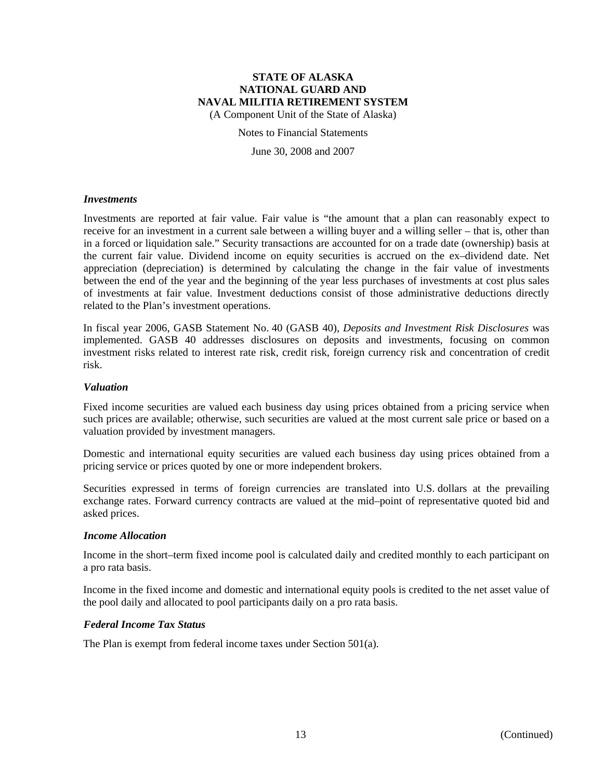(A Component Unit of the State of Alaska)

#### Notes to Financial Statements

June 30, 2008 and 2007

#### *Investments*

Investments are reported at fair value. Fair value is "the amount that a plan can reasonably expect to receive for an investment in a current sale between a willing buyer and a willing seller – that is, other than in a forced or liquidation sale." Security transactions are accounted for on a trade date (ownership) basis at the current fair value. Dividend income on equity securities is accrued on the ex–dividend date. Net appreciation (depreciation) is determined by calculating the change in the fair value of investments between the end of the year and the beginning of the year less purchases of investments at cost plus sales of investments at fair value. Investment deductions consist of those administrative deductions directly related to the Plan's investment operations.

In fiscal year 2006, GASB Statement No. 40 (GASB 40), *Deposits and Investment Risk Disclosures* was implemented. GASB 40 addresses disclosures on deposits and investments, focusing on common investment risks related to interest rate risk, credit risk, foreign currency risk and concentration of credit risk.

#### *Valuation*

Fixed income securities are valued each business day using prices obtained from a pricing service when such prices are available; otherwise, such securities are valued at the most current sale price or based on a valuation provided by investment managers.

Domestic and international equity securities are valued each business day using prices obtained from a pricing service or prices quoted by one or more independent brokers.

Securities expressed in terms of foreign currencies are translated into U.S. dollars at the prevailing exchange rates. Forward currency contracts are valued at the mid–point of representative quoted bid and asked prices.

### *Income Allocation*

Income in the short–term fixed income pool is calculated daily and credited monthly to each participant on a pro rata basis.

Income in the fixed income and domestic and international equity pools is credited to the net asset value of the pool daily and allocated to pool participants daily on a pro rata basis.

#### *Federal Income Tax Status*

The Plan is exempt from federal income taxes under Section 501(a).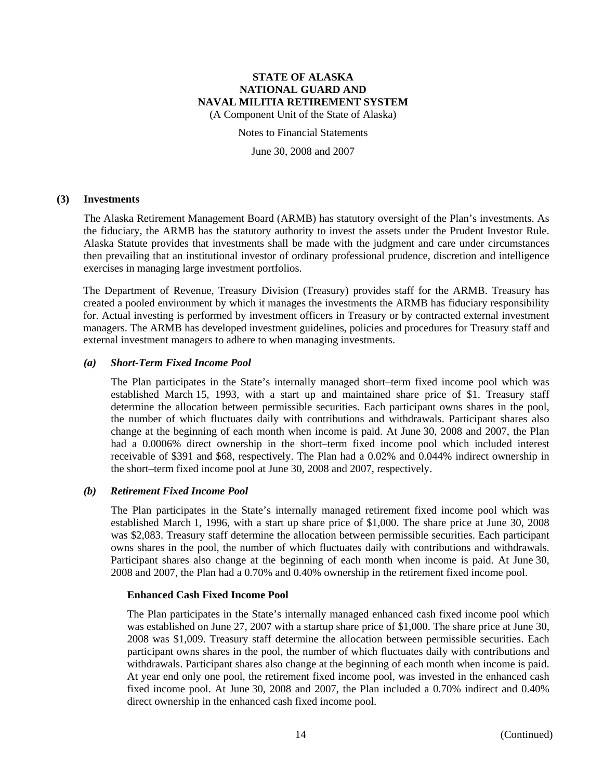(A Component Unit of the State of Alaska)

Notes to Financial Statements

June 30, 2008 and 2007

#### **(3) Investments**

The Alaska Retirement Management Board (ARMB) has statutory oversight of the Plan's investments. As the fiduciary, the ARMB has the statutory authority to invest the assets under the Prudent Investor Rule. Alaska Statute provides that investments shall be made with the judgment and care under circumstances then prevailing that an institutional investor of ordinary professional prudence, discretion and intelligence exercises in managing large investment portfolios.

The Department of Revenue, Treasury Division (Treasury) provides staff for the ARMB. Treasury has created a pooled environment by which it manages the investments the ARMB has fiduciary responsibility for. Actual investing is performed by investment officers in Treasury or by contracted external investment managers. The ARMB has developed investment guidelines, policies and procedures for Treasury staff and external investment managers to adhere to when managing investments.

### *(a) Short-Term Fixed Income Pool*

The Plan participates in the State's internally managed short–term fixed income pool which was established March 15, 1993, with a start up and maintained share price of \$1. Treasury staff determine the allocation between permissible securities. Each participant owns shares in the pool, the number of which fluctuates daily with contributions and withdrawals. Participant shares also change at the beginning of each month when income is paid. At June 30, 2008 and 2007, the Plan had a 0.0006% direct ownership in the short–term fixed income pool which included interest receivable of \$391 and \$68, respectively. The Plan had a 0.02% and 0.044% indirect ownership in the short–term fixed income pool at June 30, 2008 and 2007, respectively.

#### *(b) Retirement Fixed Income Pool*

The Plan participates in the State's internally managed retirement fixed income pool which was established March 1, 1996, with a start up share price of \$1,000. The share price at June 30, 2008 was \$2,083. Treasury staff determine the allocation between permissible securities. Each participant owns shares in the pool, the number of which fluctuates daily with contributions and withdrawals. Participant shares also change at the beginning of each month when income is paid. At June 30, 2008 and 2007, the Plan had a 0.70% and 0.40% ownership in the retirement fixed income pool.

#### **Enhanced Cash Fixed Income Pool**

The Plan participates in the State's internally managed enhanced cash fixed income pool which was established on June 27, 2007 with a startup share price of \$1,000. The share price at June 30, 2008 was \$1,009. Treasury staff determine the allocation between permissible securities. Each participant owns shares in the pool, the number of which fluctuates daily with contributions and withdrawals. Participant shares also change at the beginning of each month when income is paid. At year end only one pool, the retirement fixed income pool, was invested in the enhanced cash fixed income pool. At June 30, 2008 and 2007, the Plan included a 0.70% indirect and 0.40% direct ownership in the enhanced cash fixed income pool.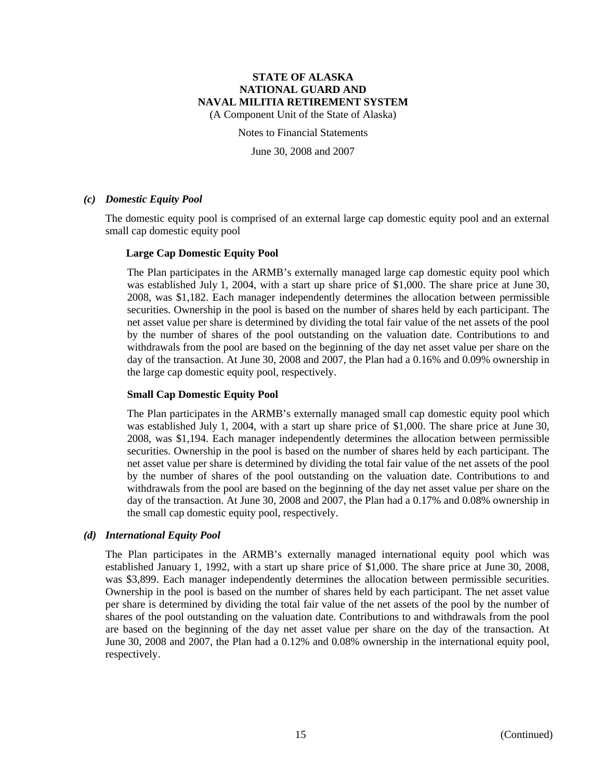(A Component Unit of the State of Alaska)

Notes to Financial Statements

June 30, 2008 and 2007

### *(c) Domestic Equity Pool*

The domestic equity pool is comprised of an external large cap domestic equity pool and an external small cap domestic equity pool

### **Large Cap Domestic Equity Pool**

The Plan participates in the ARMB's externally managed large cap domestic equity pool which was established July 1, 2004, with a start up share price of \$1,000. The share price at June 30, 2008, was \$1,182. Each manager independently determines the allocation between permissible securities. Ownership in the pool is based on the number of shares held by each participant. The net asset value per share is determined by dividing the total fair value of the net assets of the pool by the number of shares of the pool outstanding on the valuation date. Contributions to and withdrawals from the pool are based on the beginning of the day net asset value per share on the day of the transaction. At June 30, 2008 and 2007, the Plan had a 0.16% and 0.09% ownership in the large cap domestic equity pool, respectively.

### **Small Cap Domestic Equity Pool**

The Plan participates in the ARMB's externally managed small cap domestic equity pool which was established July 1, 2004, with a start up share price of \$1,000. The share price at June 30, 2008, was \$1,194. Each manager independently determines the allocation between permissible securities. Ownership in the pool is based on the number of shares held by each participant. The net asset value per share is determined by dividing the total fair value of the net assets of the pool by the number of shares of the pool outstanding on the valuation date. Contributions to and withdrawals from the pool are based on the beginning of the day net asset value per share on the day of the transaction. At June 30, 2008 and 2007, the Plan had a 0.17% and 0.08% ownership in the small cap domestic equity pool, respectively.

#### *(d) International Equity Pool*

The Plan participates in the ARMB's externally managed international equity pool which was established January 1, 1992, with a start up share price of \$1,000. The share price at June 30, 2008, was \$3,899. Each manager independently determines the allocation between permissible securities. Ownership in the pool is based on the number of shares held by each participant. The net asset value per share is determined by dividing the total fair value of the net assets of the pool by the number of shares of the pool outstanding on the valuation date. Contributions to and withdrawals from the pool are based on the beginning of the day net asset value per share on the day of the transaction. At June 30, 2008 and 2007, the Plan had a 0.12% and 0.08% ownership in the international equity pool, respectively.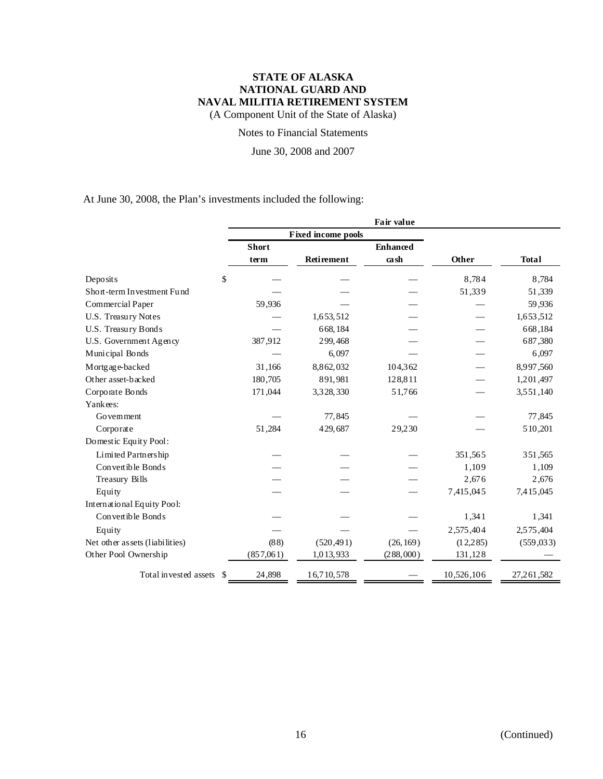(A Component Unit of the State of Alaska)

### Notes to Financial Statements

June 30, 2008 and 2007

At June 30, 2008, the Plan's investments included the following:

|                                        |              |                           | Fair value      |            |              |
|----------------------------------------|--------------|---------------------------|-----------------|------------|--------------|
|                                        |              | <b>Fixed income pools</b> |                 |            |              |
|                                        | <b>Short</b> |                           | <b>Enhanced</b> |            |              |
|                                        | term         | Retirement                | $\cosh$         | Other      | <b>Total</b> |
| \$<br>Deposits                         |              |                           |                 | 8,784      | 8,784        |
| Short-term Investment Fund             |              |                           |                 | 51,339     | 51,339       |
| Commercial Paper                       | 59,936       |                           |                 |            | 59,936       |
| U.S. Treasury Notes                    |              | 1,653,512                 |                 |            | 1,653,512    |
| U.S. Treasury Bonds                    |              | 668,184                   |                 |            | 668,184      |
| U.S. Government Agency                 | 387,912      | 299,468                   |                 |            | 687,380      |
| Municipal Bonds                        |              | 6,097                     |                 |            | 6,097        |
| Mortgage-backed                        | 31,166       | 8,862,032                 | 104,362         |            | 8,997,560    |
| Other asset-backed                     | 180,705      | 891,981                   | 128,811         |            | 1,201,497    |
| Corporate Bonds                        | 171,044      | 3,328,330                 | 51,766          |            | 3,551,140    |
| Yankees:                               |              |                           |                 |            |              |
| Govemment                              |              | 77,845                    |                 |            | 77,845       |
| Corporate                              | 51,284       | 429,687                   | 29,230          |            | 510,201      |
| Domestic Equity Pool:                  |              |                           |                 |            |              |
| Limited Partnership                    |              |                           |                 | 351,565    | 351,565      |
| Convertible Bonds                      |              |                           |                 | 1,109      | 1,109        |
| Treasury Bills                         |              |                           |                 | 2,676      | 2,676        |
| Equity                                 |              |                           |                 | 7,415,045  | 7,415,045    |
| International Equity Pool:             |              |                           |                 |            |              |
| Convertible Bonds                      |              |                           |                 | 1,341      | 1,341        |
| Equity                                 |              |                           |                 | 2,575,404  | 2,575,404    |
| Net other as sets (liabilities)        | (88)         | (520, 491)                | (26, 169)       | (12, 285)  | (559, 033)   |
| Other Pool Ownership                   | (857,061)    | 1,013,933                 | (288,000)       | 131,128    |              |
| Total invested assets<br><sup>\$</sup> | 24,898       | 16,710,578                |                 | 10,526,106 | 27,261,582   |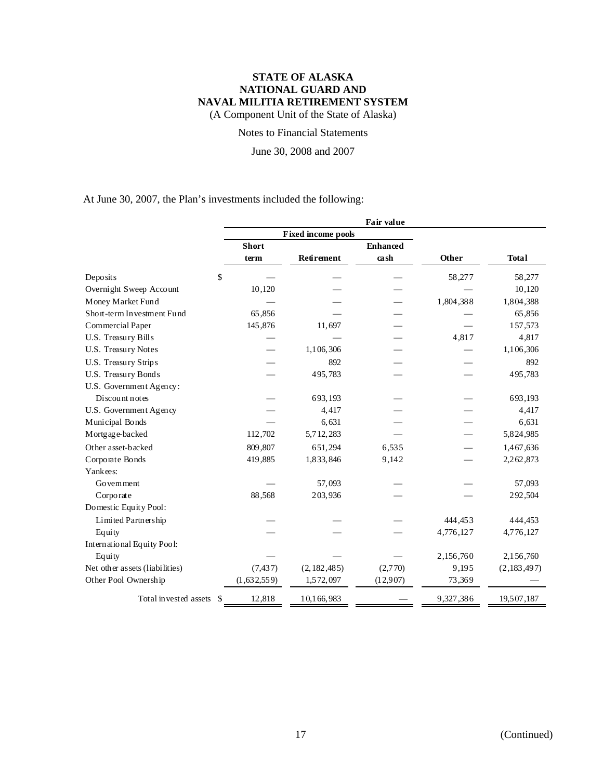(A Component Unit of the State of Alaska)

### Notes to Financial Statements

June 30, 2008 and 2007

At June 30, 2007, the Plan's investments included the following:

|                                |              |                           | Fair value      |           |               |
|--------------------------------|--------------|---------------------------|-----------------|-----------|---------------|
|                                |              | <b>Fixed income pools</b> |                 |           |               |
|                                | <b>Short</b> |                           | <b>Enhanced</b> |           |               |
|                                | term         | Retirement                | cash            | Other     | <b>Total</b>  |
| \$<br>Deposits                 |              |                           |                 | 58,277    | 58,277        |
| Overnight Sweep Account        | 10,120       |                           |                 |           | 10,120        |
| Money Market Fund              |              |                           |                 | 1,804,388 | 1,804,388     |
| Short-term Investment Fund     | 65,856       |                           |                 |           | 65,856        |
| Commercial Paper               | 145,876      | 11,697                    |                 |           | 157,573       |
| U.S. Treasury Bills            |              |                           |                 | 4,817     | 4,817         |
| U.S. Treasury Notes            |              | 1,106,306                 |                 |           | 1,106,306     |
| U.S. Treasury Strips           |              | 892                       |                 |           | 892           |
| U.S. Treasury Bonds            |              | 495,783                   |                 |           | 495,783       |
| U.S. Government Agency:        |              |                           |                 |           |               |
| Discount notes                 |              | 693,193                   |                 |           | 693,193       |
| U.S. Government Agency         |              | 4,417                     |                 |           | 4,417         |
| Municipal Bonds                |              | 6,631                     |                 |           | 6,631         |
| Mortgage-backed                | 112,702      | 5,712,283                 |                 |           | 5,824,985     |
| Other asset-backed             | 809,807      | 651,294                   | 6,535           |           | 1,467,636     |
| Corporate Bonds                | 419,885      | 1,833,846                 | 9,142           |           | 2,262,873     |
| Yankees:                       |              |                           |                 |           |               |
| Government                     |              | 57,093                    |                 |           | 57,093        |
| Corporate                      | 88,568       | 203,936                   |                 |           | 292,504       |
| Domestic Equity Pool:          |              |                           |                 |           |               |
| Limited Partnership            |              |                           |                 | 444,453   | 444,453       |
| Equity                         |              |                           |                 | 4,776,127 | 4,776,127     |
| International Equity Pool:     |              |                           |                 |           |               |
| Equity                         |              |                           |                 | 2,156,760 | 2,156,760     |
| Net other assets (liabilities) | (7, 437)     | (2, 182, 485)             | (2,770)         | 9,195     | (2, 183, 497) |
| Other Pool Ownership           | (1,632,559)  | 1,572,097                 | (12,907)        | 73,369    |               |
| Total invested assets \$       | 12,818       | 10,166,983                |                 | 9,327,386 | 19,507,187    |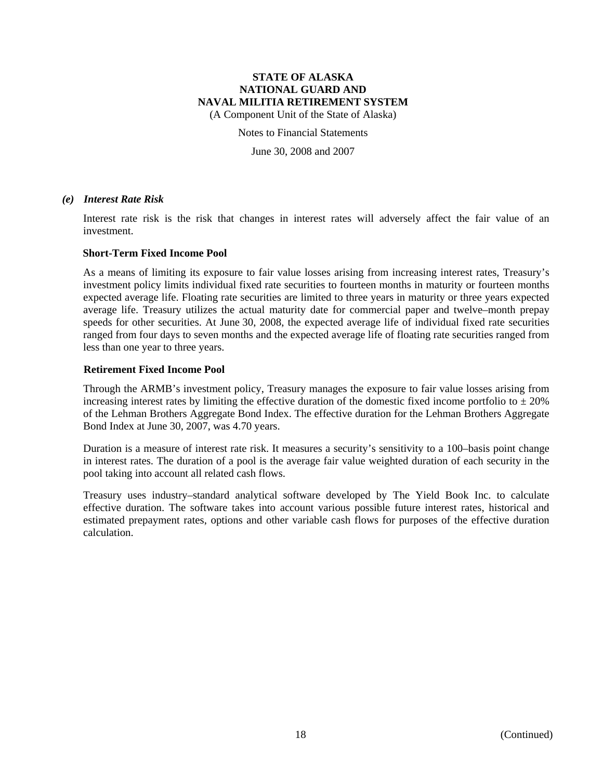(A Component Unit of the State of Alaska)

Notes to Financial Statements

June 30, 2008 and 2007

#### *(e) Interest Rate Risk*

Interest rate risk is the risk that changes in interest rates will adversely affect the fair value of an investment.

#### **Short-Term Fixed Income Pool**

As a means of limiting its exposure to fair value losses arising from increasing interest rates, Treasury's investment policy limits individual fixed rate securities to fourteen months in maturity or fourteen months expected average life. Floating rate securities are limited to three years in maturity or three years expected average life. Treasury utilizes the actual maturity date for commercial paper and twelve–month prepay speeds for other securities. At June 30, 2008, the expected average life of individual fixed rate securities ranged from four days to seven months and the expected average life of floating rate securities ranged from less than one year to three years.

#### **Retirement Fixed Income Pool**

Through the ARMB's investment policy, Treasury manages the exposure to fair value losses arising from increasing interest rates by limiting the effective duration of the domestic fixed income portfolio to  $\pm 20\%$ of the Lehman Brothers Aggregate Bond Index. The effective duration for the Lehman Brothers Aggregate Bond Index at June 30, 2007, was 4.70 years.

Duration is a measure of interest rate risk. It measures a security's sensitivity to a 100–basis point change in interest rates. The duration of a pool is the average fair value weighted duration of each security in the pool taking into account all related cash flows.

Treasury uses industry–standard analytical software developed by The Yield Book Inc. to calculate effective duration. The software takes into account various possible future interest rates, historical and estimated prepayment rates, options and other variable cash flows for purposes of the effective duration calculation.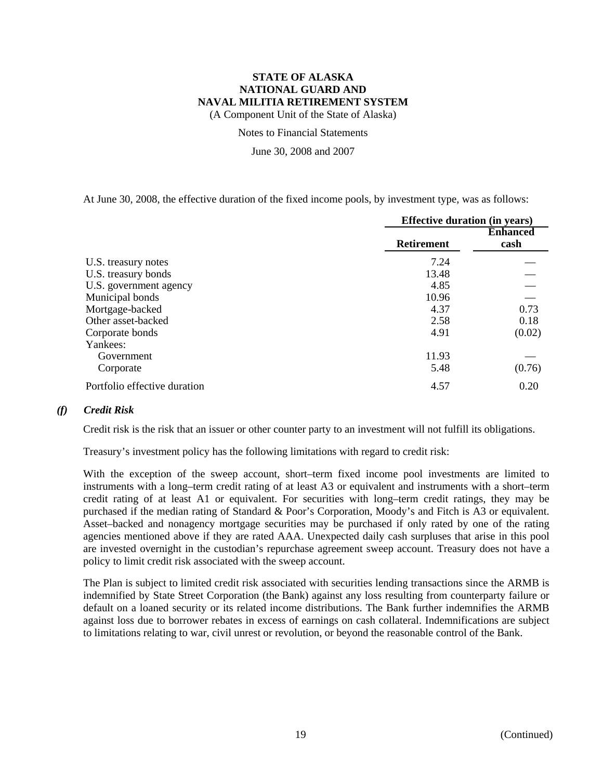(A Component Unit of the State of Alaska)

Notes to Financial Statements

June 30, 2008 and 2007

At June 30, 2008, the effective duration of the fixed income pools, by investment type, was as follows:

|                              | <b>Effective duration (in years)</b> |                         |  |
|------------------------------|--------------------------------------|-------------------------|--|
|                              | <b>Retirement</b>                    | <b>Enhanced</b><br>cash |  |
| U.S. treasury notes          | 7.24                                 |                         |  |
| U.S. treasury bonds          | 13.48                                |                         |  |
| U.S. government agency       | 4.85                                 |                         |  |
| Municipal bonds              | 10.96                                |                         |  |
| Mortgage-backed              | 4.37                                 | 0.73                    |  |
| Other asset-backed           | 2.58                                 | 0.18                    |  |
| Corporate bonds              | 4.91                                 | (0.02)                  |  |
| Yankees:                     |                                      |                         |  |
| Government                   | 11.93                                |                         |  |
| Corporate                    | 5.48                                 | (0.76)                  |  |
| Portfolio effective duration | 4.57                                 | 0.20                    |  |

### *(f) Credit Risk*

Credit risk is the risk that an issuer or other counter party to an investment will not fulfill its obligations.

Treasury's investment policy has the following limitations with regard to credit risk:

With the exception of the sweep account, short–term fixed income pool investments are limited to instruments with a long–term credit rating of at least A3 or equivalent and instruments with a short–term credit rating of at least A1 or equivalent. For securities with long–term credit ratings, they may be purchased if the median rating of Standard & Poor's Corporation, Moody's and Fitch is A3 or equivalent. Asset–backed and nonagency mortgage securities may be purchased if only rated by one of the rating agencies mentioned above if they are rated AAA. Unexpected daily cash surpluses that arise in this pool are invested overnight in the custodian's repurchase agreement sweep account. Treasury does not have a policy to limit credit risk associated with the sweep account.

The Plan is subject to limited credit risk associated with securities lending transactions since the ARMB is indemnified by State Street Corporation (the Bank) against any loss resulting from counterparty failure or default on a loaned security or its related income distributions. The Bank further indemnifies the ARMB against loss due to borrower rebates in excess of earnings on cash collateral. Indemnifications are subject to limitations relating to war, civil unrest or revolution, or beyond the reasonable control of the Bank.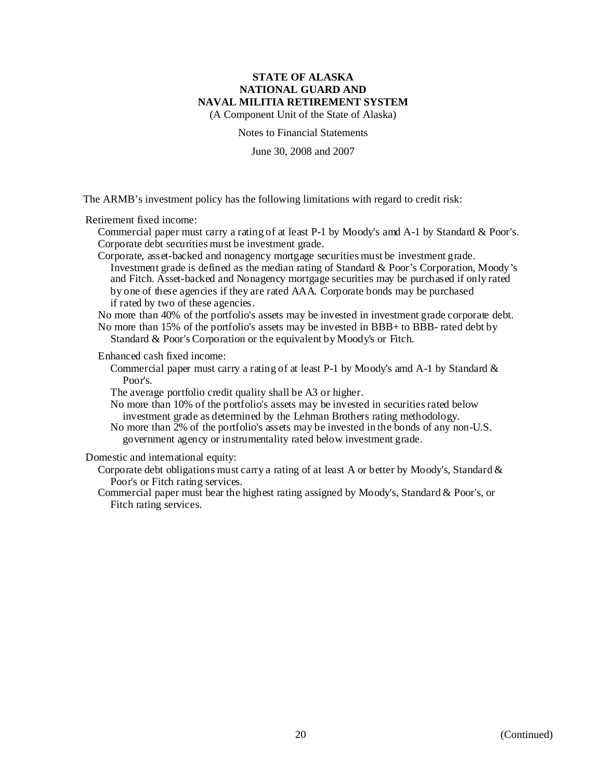(A Component Unit of the State of Alaska)

Notes to Financial Statements

June 30, 2008 and 2007

The ARMB's investment policy has the following limitations with regard to credit risk:

Retirement fixed income:

Commercial paper must carry a rating of at least P-1 by Moody's amd A-1 by Standard & Poor's. Corporate debt securities must be investment grade.

Corporate, asset-backed and nonagency mortgage securities must be investment grade. Investment grade is defined as the median rating of Standard & Poor's Corporation, Moody's and Fitch. Asset-backed and Nonagency mortgage securities may be purchased if only rated by one of these agencies if they are rated AAA. Corporate bonds may be purchased if rated by two of these agencies.

No more than 40% of the portfolio's assets may be invested in investment grade corporate debt. No more than 15% of the portfolio's assets may be invested in BBB+ to BBB- rated debt by

Standard & Poor's Corporation or the equivalent by Moody's or Fitch.

Enhanced cash fixed income:

Commercial paper must carry a rating of at least P-1 by Moody's amd A-1 by Standard & Poor's.

The average portfolio credit quality shall be A3 or higher.

No more than 10% of the portfolio's assets may be invested in securities rated below investment grade as determined by the Lehman Brothers rating methodology.

No more than 2% of the portfolio's assets may be invested in the bonds of any non-U.S. government agency or instrumentality rated below investment grade.

Domestic and international equity:

- Corporate debt obligations must carry a rating of at least A or better by Moody's, Standard  $\&$ Poor's or Fitch rating services.
- Commercial paper must bear the highest rating assigned by Moody's, Standard & Poor's, or Fitch rating services.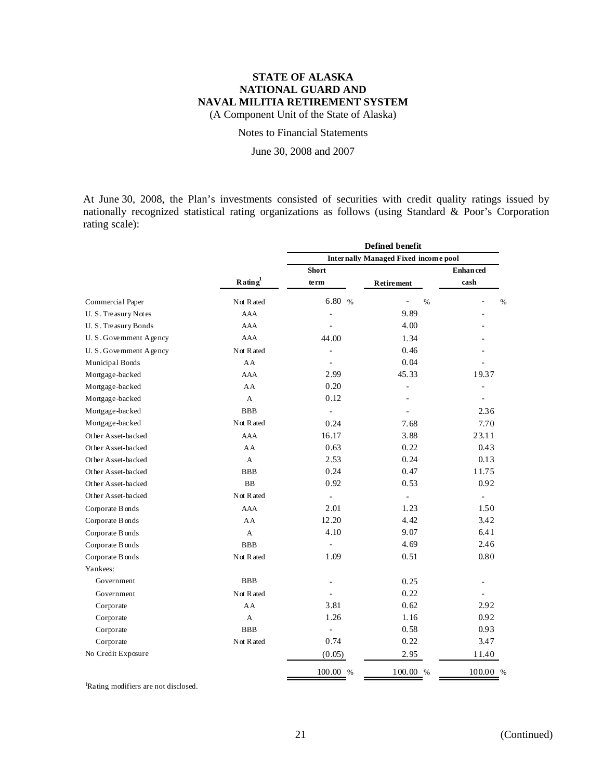(A Component Unit of the State of Alaska)

### Notes to Financial Statements

June 30, 2008 and 2007

At June 30, 2008, the Plan's investments consisted of securities with credit quality ratings issued by nationally recognized statistical rating organizations as follows (using Standard & Poor's Corporation rating scale):

|                         |                                 | Defined benefit                             |                          |                          |  |  |
|-------------------------|---------------------------------|---------------------------------------------|--------------------------|--------------------------|--|--|
|                         |                                 | <b>Internally Managed Fixed income pool</b> |                          |                          |  |  |
|                         |                                 | Short                                       |                          | <b>Enhanced</b>          |  |  |
|                         | $\mathbf{R}$ ating <sup>1</sup> | te rm                                       | <b>Retirement</b>        | cash                     |  |  |
| Commercial Paper        | Not Rated                       | 6.80 %                                      | %                        | %                        |  |  |
| U. S. Treasury Notes    | <b>AAA</b>                      |                                             | 9.89                     |                          |  |  |
| U.S. Treasury Bonds     | <b>AAA</b>                      |                                             | 4.00                     |                          |  |  |
| U. S. Government Agency | AAA                             | 44.00                                       | 1.34                     |                          |  |  |
| U. S. Government Agency | Not R ated                      |                                             | 0.46                     |                          |  |  |
| Municipal Bonds         | AA                              |                                             | 0.04                     |                          |  |  |
| Mortgage-backed         | <b>AAA</b>                      | 2.99                                        | 45.33                    | 19.37                    |  |  |
| Mortgage-backed         | AA                              | 0.20                                        | $\overline{\phantom{a}}$ |                          |  |  |
| Mortgage-backed         | A                               | 0.12                                        |                          |                          |  |  |
| Mortgage-backed         | <b>BBB</b>                      | $\blacksquare$                              |                          | 2.36                     |  |  |
| Mortgage-backed         | Not Rated                       | 0.24                                        | 7.68                     | 7.70                     |  |  |
| Other Asset-backed      | <b>AAA</b>                      | 16.17                                       | 3.88                     | 23.11                    |  |  |
| Other Asset-backed      | AA                              | 0.63                                        | 0.22                     | 0.43                     |  |  |
| Other Asset-backed      | $\mathsf{A}$                    | 2.53                                        | 0.24                     | 0.13                     |  |  |
| Other Asset-backed      | <b>BBB</b>                      | 0.24                                        | 0.47                     | 11.75                    |  |  |
| Other Asset-backed      | <b>BB</b>                       | 0.92                                        | 0.53                     | 0.92                     |  |  |
| Other Asset-backed      | Not Rated                       | $\equiv$                                    | $\overline{\phantom{a}}$ | $\overline{\phantom{0}}$ |  |  |
| Corporate B onds        | <b>AAA</b>                      | 2.01                                        | 1.23                     | 1.50                     |  |  |
| Corporate B onds        | AA                              | 12.20                                       | 4.42                     | 3.42                     |  |  |
| Corporate B onds        | A                               | 4.10                                        | 9.07                     | 6.41                     |  |  |
| Corporate B onds        | <b>BBB</b>                      |                                             | 4.69                     | 2.46                     |  |  |
| Corporate B onds        | Not Rated                       | 1.09                                        | 0.51                     | 0.80                     |  |  |
| Yankees:                |                                 |                                             |                          |                          |  |  |
| Government              | <b>BBB</b>                      |                                             | 0.25                     | L,                       |  |  |
| Government              | Not Rated                       |                                             | 0.22                     | ÷,                       |  |  |
| Corporate               | AA                              | 3.81                                        | 0.62                     | 2.92                     |  |  |
| Corporate               | A                               | 1.26                                        | 1.16                     | 0.92                     |  |  |
| Corporate               | <b>BBB</b>                      |                                             | 0.58                     | 0.93                     |  |  |
| Corporate               | Not Rated                       | 0.74                                        | 0.22                     | 3.47                     |  |  |
| No Credit Exposure      |                                 | (0.05)                                      | 2.95                     | 11.40                    |  |  |
|                         |                                 | $100.00~\%$                                 | 100.00 %                 | 100.00 %                 |  |  |

<sup>1</sup>Rating modifiers are not disclosed.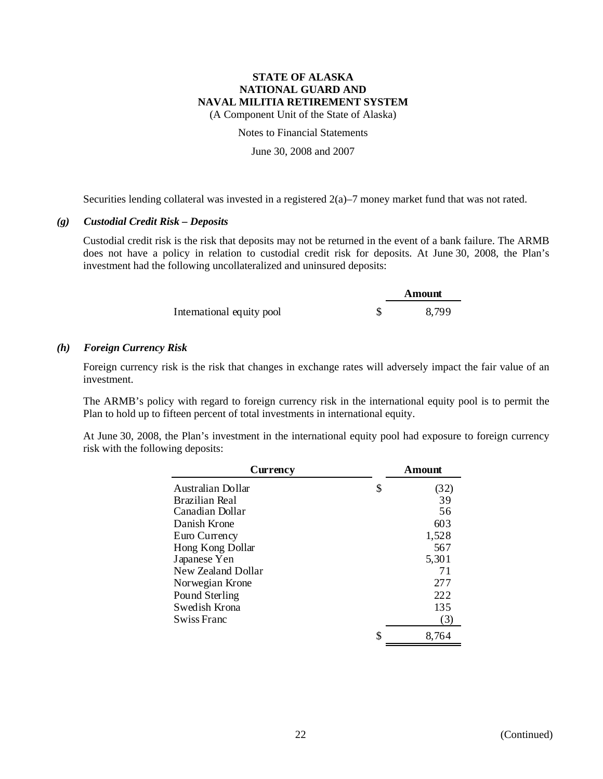(A Component Unit of the State of Alaska)

Notes to Financial Statements

June 30, 2008 and 2007

Securities lending collateral was invested in a registered 2(a)–7 money market fund that was not rated.

### *(g) Custodial Credit Risk – Deposits*

Custodial credit risk is the risk that deposits may not be returned in the event of a bank failure. The ARMB does not have a policy in relation to custodial credit risk for deposits. At June 30, 2008, the Plan's investment had the following uncollateralized and uninsured deposits:

|                           | Amount |
|---------------------------|--------|
| International equity pool | 8,799  |

### *(h) Foreign Currency Risk*

Foreign currency risk is the risk that changes in exchange rates will adversely impact the fair value of an investment.

The ARMB's policy with regard to foreign currency risk in the international equity pool is to permit the Plan to hold up to fifteen percent of total investments in international equity.

At June 30, 2008, the Plan's investment in the international equity pool had exposure to foreign currency risk with the following deposits:

| Currency           | Amount      |
|--------------------|-------------|
| Australian Dollar  | \$<br>(32)  |
| Brazilian Real     | 39          |
| Canadian Dollar    | 56          |
| Danish Krone       | 603         |
| Euro Currency      | 1,528       |
| Hong Kong Dollar   | 567         |
| Japanese Yen       | 5,301       |
| New Zealand Dollar | 71          |
| Norwegian Krone    | 277         |
| Pound Sterling     | 222         |
| Swedish Krona      | 135         |
| Swiss Franc        | (3)         |
|                    | \$<br>8,764 |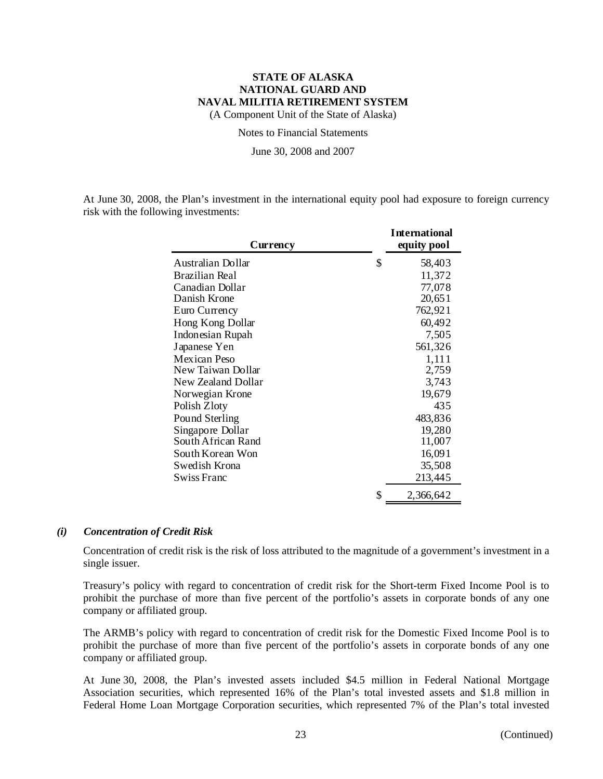(A Component Unit of the State of Alaska)

Notes to Financial Statements

June 30, 2008 and 2007

At June 30, 2008, the Plan's investment in the international equity pool had exposure to foreign currency risk with the following investments:

| Currency           | <b>International</b><br>equity pool |
|--------------------|-------------------------------------|
| Australian Dollar  | \$<br>58,403                        |
| Brazilian Real     | 11,372                              |
| Canadian Dollar    | 77,078                              |
| Danish Krone       | 20,651                              |
| Euro Currency      | 762,921                             |
| Hong Kong Dollar   | 60,492                              |
| Indonesian Rupah   | 7,505                               |
| Japanese Yen       | 561,326                             |
| Mexican Peso       | 1,111                               |
| New Taiwan Dollar  | 2,759                               |
| New Zealand Dollar | 3,743                               |
| Norwegian Krone    | 19,679                              |
| Polish Zloty       | 435                                 |
| Pound Sterling     | 483,836                             |
| Singapore Dollar   | 19,280                              |
| South African Rand | 11,007                              |
| South Korean Won   | 16,091                              |
| Swedish Krona      | 35,508                              |
| Swiss Franc        | 213,445                             |
|                    | \$<br>2,366,642                     |

#### *(i) Concentration of Credit Risk*

Concentration of credit risk is the risk of loss attributed to the magnitude of a government's investment in a single issuer.

Treasury's policy with regard to concentration of credit risk for the Short-term Fixed Income Pool is to prohibit the purchase of more than five percent of the portfolio's assets in corporate bonds of any one company or affiliated group.

The ARMB's policy with regard to concentration of credit risk for the Domestic Fixed Income Pool is to prohibit the purchase of more than five percent of the portfolio's assets in corporate bonds of any one company or affiliated group.

At June 30, 2008, the Plan's invested assets included \$4.5 million in Federal National Mortgage Association securities, which represented 16% of the Plan's total invested assets and \$1.8 million in Federal Home Loan Mortgage Corporation securities, which represented 7% of the Plan's total invested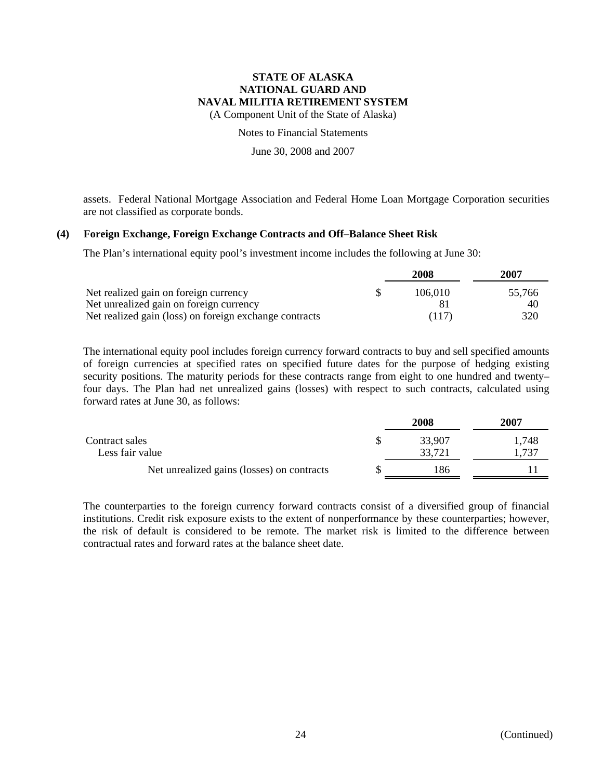(A Component Unit of the State of Alaska)

Notes to Financial Statements

June 30, 2008 and 2007

assets. Federal National Mortgage Association and Federal Home Loan Mortgage Corporation securities are not classified as corporate bonds.

#### **(4) Foreign Exchange, Foreign Exchange Contracts and Off–Balance Sheet Risk**

The Plan's international equity pool's investment income includes the following at June 30:

|                                                        | 2008    | 2007   |
|--------------------------------------------------------|---------|--------|
| Net realized gain on foreign currency                  | 106.010 | 55,766 |
| Net unrealized gain on foreign currency                |         | 40     |
| Net realized gain (loss) on foreign exchange contracts | (117)   | 320    |

The international equity pool includes foreign currency forward contracts to buy and sell specified amounts of foreign currencies at specified rates on specified future dates for the purpose of hedging existing security positions. The maturity periods for these contracts range from eight to one hundred and twenty– four days. The Plan had net unrealized gains (losses) with respect to such contracts, calculated using forward rates at June 30, as follows:

|                                            | 2008   | 2007  |
|--------------------------------------------|--------|-------|
| Contract sales                             | 33,907 | 1,748 |
| Less fair value                            | 33,721 | .737  |
| Net unrealized gains (losses) on contracts | 186    |       |

The counterparties to the foreign currency forward contracts consist of a diversified group of financial institutions. Credit risk exposure exists to the extent of nonperformance by these counterparties; however, the risk of default is considered to be remote. The market risk is limited to the difference between contractual rates and forward rates at the balance sheet date.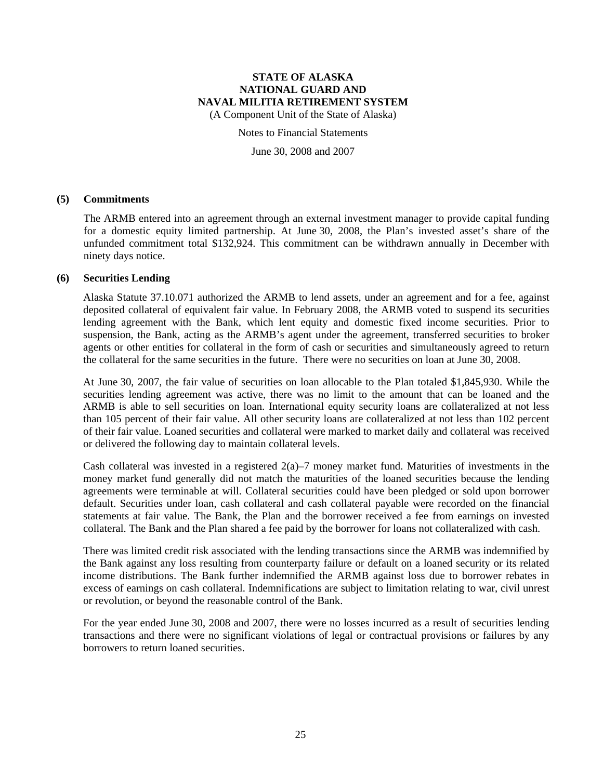(A Component Unit of the State of Alaska)

#### Notes to Financial Statements

June 30, 2008 and 2007

#### **(5) Commitments**

The ARMB entered into an agreement through an external investment manager to provide capital funding for a domestic equity limited partnership. At June 30, 2008, the Plan's invested asset's share of the unfunded commitment total \$132,924. This commitment can be withdrawn annually in December with ninety days notice.

### **(6) Securities Lending**

Alaska Statute 37.10.071 authorized the ARMB to lend assets, under an agreement and for a fee, against deposited collateral of equivalent fair value. In February 2008, the ARMB voted to suspend its securities lending agreement with the Bank, which lent equity and domestic fixed income securities. Prior to suspension, the Bank, acting as the ARMB's agent under the agreement, transferred securities to broker agents or other entities for collateral in the form of cash or securities and simultaneously agreed to return the collateral for the same securities in the future. There were no securities on loan at June 30, 2008.

At June 30, 2007, the fair value of securities on loan allocable to the Plan totaled \$1,845,930. While the securities lending agreement was active, there was no limit to the amount that can be loaned and the ARMB is able to sell securities on loan. International equity security loans are collateralized at not less than 105 percent of their fair value. All other security loans are collateralized at not less than 102 percent of their fair value. Loaned securities and collateral were marked to market daily and collateral was received or delivered the following day to maintain collateral levels.

Cash collateral was invested in a registered  $2(a)$ –7 money market fund. Maturities of investments in the money market fund generally did not match the maturities of the loaned securities because the lending agreements were terminable at will. Collateral securities could have been pledged or sold upon borrower default. Securities under loan, cash collateral and cash collateral payable were recorded on the financial statements at fair value. The Bank, the Plan and the borrower received a fee from earnings on invested collateral. The Bank and the Plan shared a fee paid by the borrower for loans not collateralized with cash.

There was limited credit risk associated with the lending transactions since the ARMB was indemnified by the Bank against any loss resulting from counterparty failure or default on a loaned security or its related income distributions. The Bank further indemnified the ARMB against loss due to borrower rebates in excess of earnings on cash collateral. Indemnifications are subject to limitation relating to war, civil unrest or revolution, or beyond the reasonable control of the Bank.

For the year ended June 30, 2008 and 2007, there were no losses incurred as a result of securities lending transactions and there were no significant violations of legal or contractual provisions or failures by any borrowers to return loaned securities.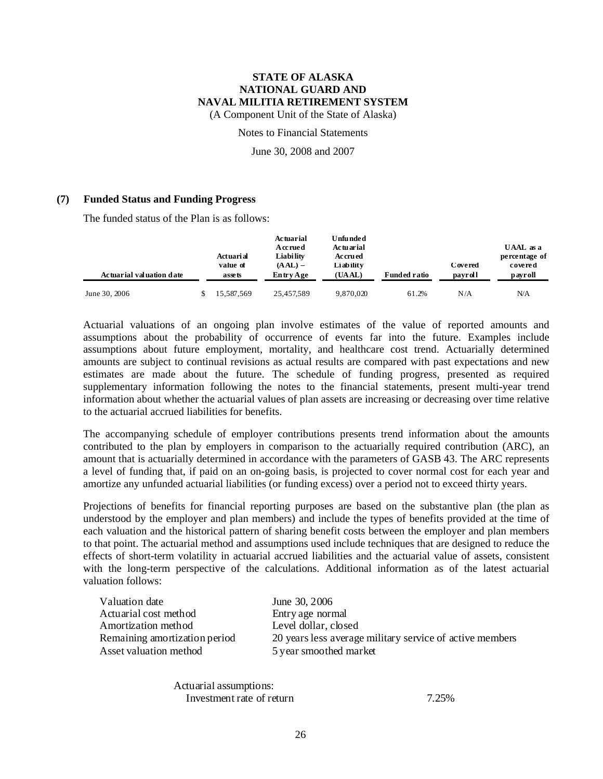(A Component Unit of the State of Alaska)

#### Notes to Financial Statements

June 30, 2008 and 2007

#### **(7) Funded Status and Funding Progress**

The funded status of the Plan is as follows:

| Actuarial valuation date | Actuarial<br>value of<br>assets | <b>Actuarial</b><br>Accrued<br>Liabi lity<br>$(AAL)$ –<br>Entry Age | <b>Unfunded</b><br>Actuarial<br><b>Accrued</b><br>Li ab ilit v<br>(UAAL) | <b>Funded ratio</b> | Covered<br>payroll | UAAL as a<br>percentage of<br>covered<br>payroll |
|--------------------------|---------------------------------|---------------------------------------------------------------------|--------------------------------------------------------------------------|---------------------|--------------------|--------------------------------------------------|
| June 30, 2006            | 15,587,569                      | 25.457.589                                                          | 9.870.020                                                                | 61.2%               | N/A                | N/A                                              |

Actuarial valuations of an ongoing plan involve estimates of the value of reported amounts and assumptions about the probability of occurrence of events far into the future. Examples include assumptions about future employment, mortality, and healthcare cost trend. Actuarially determined amounts are subject to continual revisions as actual results are compared with past expectations and new estimates are made about the future. The schedule of funding progress, presented as required supplementary information following the notes to the financial statements, present multi-year trend information about whether the actuarial values of plan assets are increasing or decreasing over time relative to the actuarial accrued liabilities for benefits.

The accompanying schedule of employer contributions presents trend information about the amounts contributed to the plan by employers in comparison to the actuarially required contribution (ARC), an amount that is actuarially determined in accordance with the parameters of GASB 43. The ARC represents a level of funding that, if paid on an on-going basis, is projected to cover normal cost for each year and amortize any unfunded actuarial liabilities (or funding excess) over a period not to exceed thirty years.

Projections of benefits for financial reporting purposes are based on the substantive plan (the plan as understood by the employer and plan members) and include the types of benefits provided at the time of each valuation and the historical pattern of sharing benefit costs between the employer and plan members to that point. The actuarial method and assumptions used include techniques that are designed to reduce the effects of short-term volatility in actuarial accrued liabilities and the actuarial value of assets, consistent with the long-term perspective of the calculations. Additional information as of the latest actuarial valuation follows:

| Valuation date                | June 30, 2006                                            |
|-------------------------------|----------------------------------------------------------|
| Actuarial cost method         | Entry age normal                                         |
| Amortization method           | Level dollar, closed                                     |
| Remaining amortization period | 20 years less average military service of active members |
| Asset valuation method        | 5 year smoothed market                                   |

Actuarial assumptions: Investment rate of return 7.25%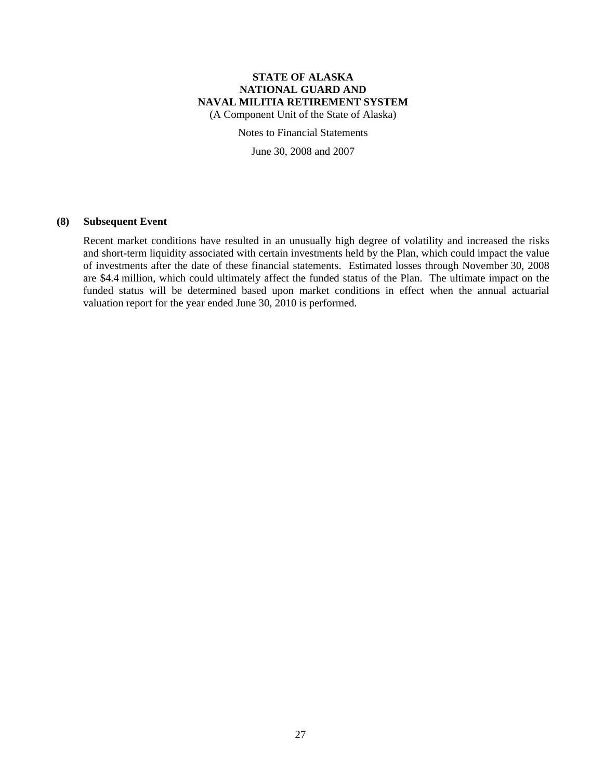(A Component Unit of the State of Alaska)

Notes to Financial Statements

June 30, 2008 and 2007

### **(8) Subsequent Event**

Recent market conditions have resulted in an unusually high degree of volatility and increased the risks and short-term liquidity associated with certain investments held by the Plan, which could impact the value of investments after the date of these financial statements. Estimated losses through November 30, 2008 are \$4.4 million, which could ultimately affect the funded status of the Plan. The ultimate impact on the funded status will be determined based upon market conditions in effect when the annual actuarial valuation report for the year ended June 30, 2010 is performed.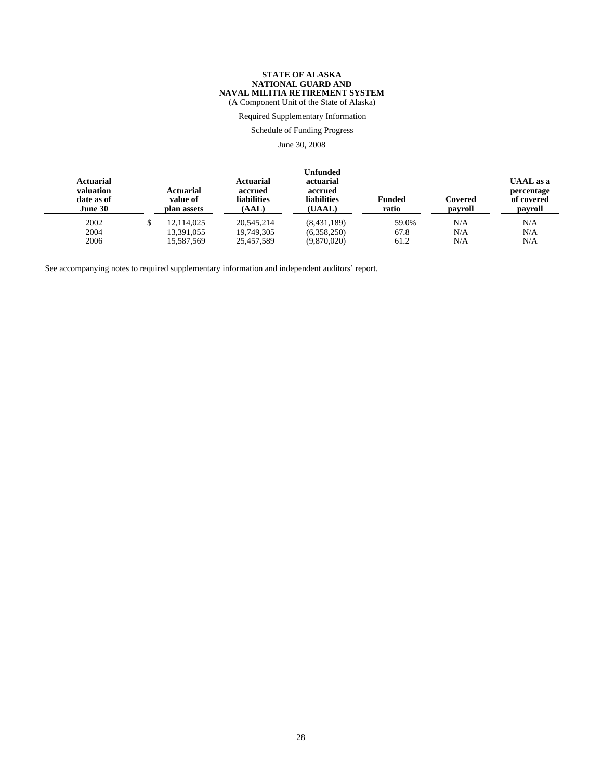(A Component Unit of the State of Alaska)

### Required Supplementary Information

Schedule of Funding Progress

June 30, 2008

| <b>Actuarial</b><br>valuation<br>date as of<br><b>June 30</b> | Actuarial<br>value of<br>plan assets | <b>Actuarial</b><br>accrued<br><b>liabilities</b><br>(AAL) | <b>Unfunded</b><br>actuarial<br>accrued<br><b>liabilities</b><br>(UAAL) | <b>Funded</b><br>ratio | Covered<br>payroll | <b>UAAL</b> as a<br>percentage<br>of covered<br>payroll |
|---------------------------------------------------------------|--------------------------------------|------------------------------------------------------------|-------------------------------------------------------------------------|------------------------|--------------------|---------------------------------------------------------|
| 2002                                                          | 12.114.025                           | 20.545.214                                                 | (8,431,189)                                                             | 59.0%                  | N/A                | N/A                                                     |
| 2004                                                          | 13,391,055                           | 19.749.305                                                 | (6,358,250)                                                             | 67.8                   | N/A                | N/A                                                     |
| 2006                                                          | 15,587,569                           | 25,457,589                                                 | (9,870,020)                                                             | 61.2                   | N/A                | N/A                                                     |

See accompanying notes to required supplementary information and independent auditors' report.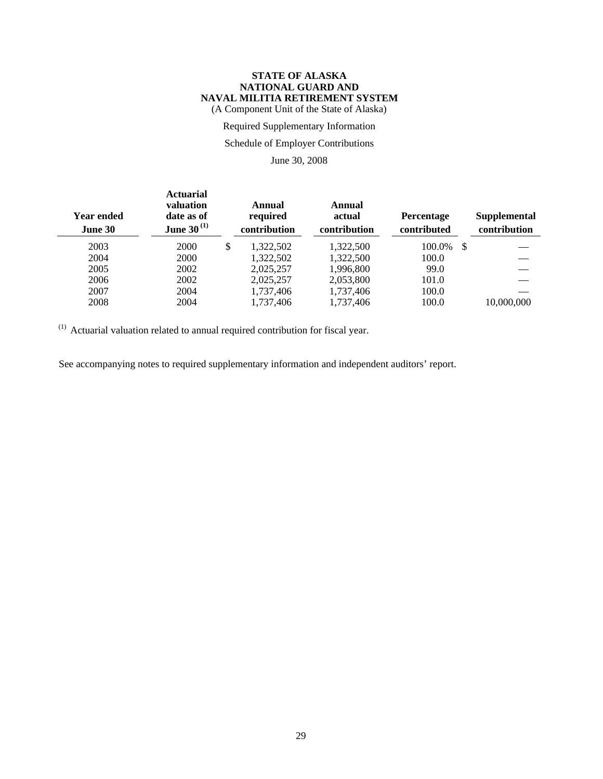#### **STATE OF ALASKA NATIONAL GUARD AND NAVAL MILITIA RETIREMENT SYSTEM** (A Component Unit of the State of Alaska)

Required Supplementary Information

### Schedule of Employer Contributions

June 30, 2008

| <b>Year ended</b><br>June 30 | <b>Actuarial</b><br>valuation<br>date as of<br><b>June 30</b> <sup>(1)</sup> | Annual<br>required<br>contribution | Annual<br>actual<br>contribution | <b>Percentage</b><br>contributed |     | Supplemental<br>contribution |
|------------------------------|------------------------------------------------------------------------------|------------------------------------|----------------------------------|----------------------------------|-----|------------------------------|
| 2003                         | 2000                                                                         | \$<br>1.322.502                    | 1,322,500                        | 100.0%                           | -\$ |                              |
| 2004                         | 2000                                                                         | 1.322.502                          | 1.322.500                        | 100.0                            |     |                              |
| 2005                         | 2002                                                                         | 2,025,257                          | 1.996.800                        | 99.0                             |     |                              |
| 2006                         | 2002                                                                         | 2,025,257                          | 2,053,800                        | 101.0                            |     |                              |
| 2007                         | 2004                                                                         | 1,737,406                          | 1,737,406                        | 100.0                            |     |                              |
| 2008                         | 2004                                                                         | 1,737,406                          | 1,737,406                        | 100.0                            |     | 10,000,000                   |

(1) Actuarial valuation related to annual required contribution for fiscal year.

See accompanying notes to required supplementary information and independent auditors' report.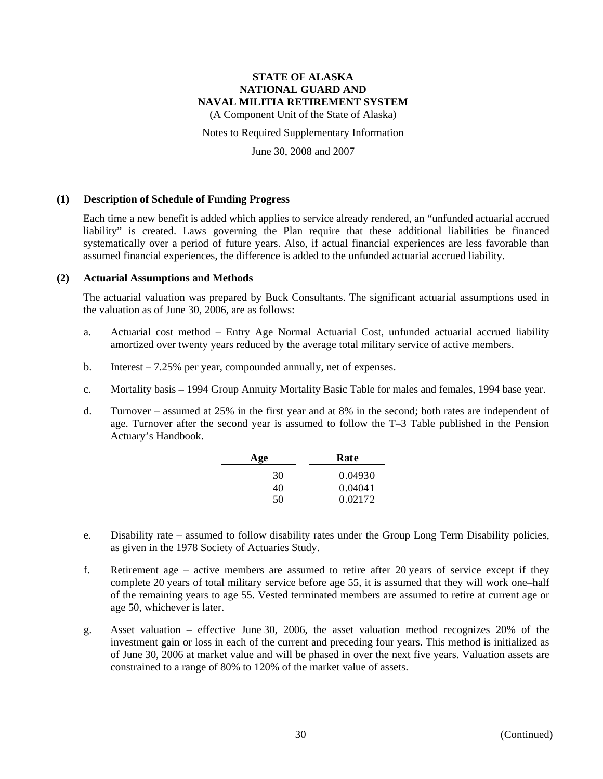(A Component Unit of the State of Alaska)

Notes to Required Supplementary Information

June 30, 2008 and 2007

#### **(1) Description of Schedule of Funding Progress**

Each time a new benefit is added which applies to service already rendered, an "unfunded actuarial accrued liability" is created. Laws governing the Plan require that these additional liabilities be financed systematically over a period of future years. Also, if actual financial experiences are less favorable than assumed financial experiences, the difference is added to the unfunded actuarial accrued liability.

#### **(2) Actuarial Assumptions and Methods**

The actuarial valuation was prepared by Buck Consultants. The significant actuarial assumptions used in the valuation as of June 30, 2006, are as follows:

- a. Actuarial cost method Entry Age Normal Actuarial Cost, unfunded actuarial accrued liability amortized over twenty years reduced by the average total military service of active members.
- b. Interest 7.25% per year, compounded annually, net of expenses.
- c. Mortality basis 1994 Group Annuity Mortality Basic Table for males and females, 1994 base year.
- d. Turnover assumed at 25% in the first year and at 8% in the second; both rates are independent of age. Turnover after the second year is assumed to follow the T–3 Table published in the Pension Actuary's Handbook.

| Age | Rate    |  |  |
|-----|---------|--|--|
| 30  | 0.04930 |  |  |
| 40  | 0.04041 |  |  |
| 50  | 0.02172 |  |  |

- e. Disability rate assumed to follow disability rates under the Group Long Term Disability policies, as given in the 1978 Society of Actuaries Study.
- f. Retirement age active members are assumed to retire after 20 years of service except if they complete 20 years of total military service before age 55, it is assumed that they will work one–half of the remaining years to age 55. Vested terminated members are assumed to retire at current age or age 50, whichever is later.
- g. Asset valuation effective June 30, 2006, the asset valuation method recognizes 20% of the investment gain or loss in each of the current and preceding four years. This method is initialized as of June 30, 2006 at market value and will be phased in over the next five years. Valuation assets are constrained to a range of 80% to 120% of the market value of assets.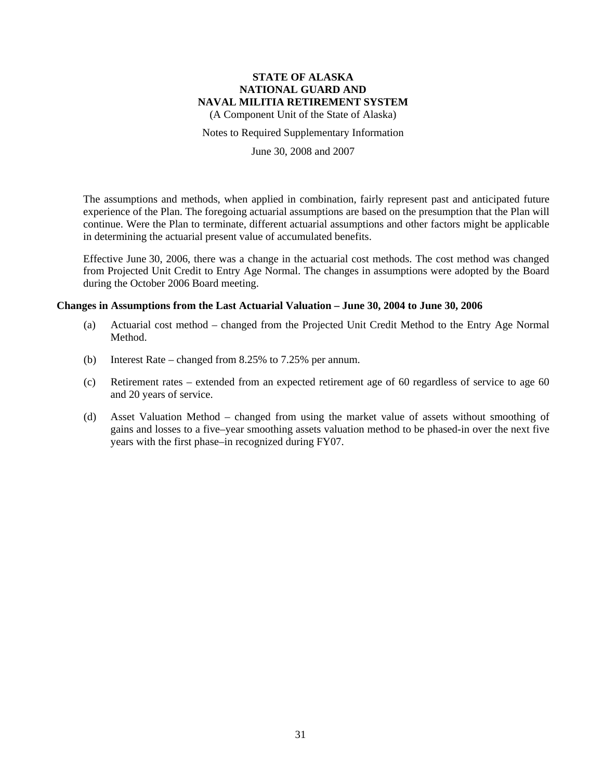(A Component Unit of the State of Alaska)

#### Notes to Required Supplementary Information

June 30, 2008 and 2007

The assumptions and methods, when applied in combination, fairly represent past and anticipated future experience of the Plan. The foregoing actuarial assumptions are based on the presumption that the Plan will continue. Were the Plan to terminate, different actuarial assumptions and other factors might be applicable in determining the actuarial present value of accumulated benefits.

Effective June 30, 2006, there was a change in the actuarial cost methods. The cost method was changed from Projected Unit Credit to Entry Age Normal. The changes in assumptions were adopted by the Board during the October 2006 Board meeting.

#### **Changes in Assumptions from the Last Actuarial Valuation – June 30, 2004 to June 30, 2006**

- (a) Actuarial cost method changed from the Projected Unit Credit Method to the Entry Age Normal Method.
- (b) Interest Rate changed from 8.25% to 7.25% per annum.
- (c) Retirement rates extended from an expected retirement age of 60 regardless of service to age 60 and 20 years of service.
- (d) Asset Valuation Method changed from using the market value of assets without smoothing of gains and losses to a five–year smoothing assets valuation method to be phased-in over the next five years with the first phase–in recognized during FY07.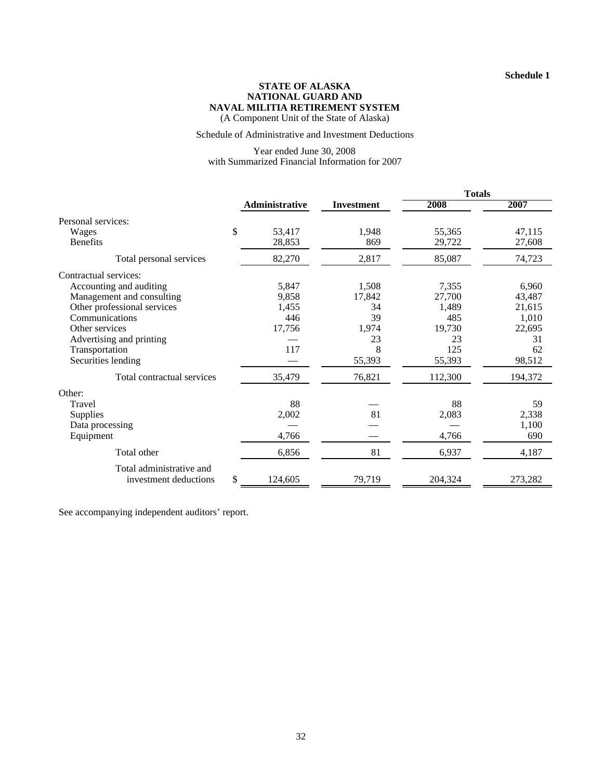#### **STATE OF ALASKA NATIONAL GUARD AND NAVAL MILITIA RETIREMENT SYSTEM** (A Component Unit of the State of Alaska)

#### Schedule of Administrative and Investment Deductions

### Year ended June 30, 2008 with Summarized Financial Information for 2007

|                             |                       |                   | <b>Totals</b> |         |  |
|-----------------------------|-----------------------|-------------------|---------------|---------|--|
|                             | <b>Administrative</b> | <b>Investment</b> | 2008          | 2007    |  |
| Personal services:          |                       |                   |               |         |  |
| Wages                       | \$<br>53,417          | 1,948             | 55,365        | 47,115  |  |
| <b>Benefits</b>             | 28,853                | 869               | 29,722        | 27,608  |  |
| Total personal services     | 82,270                | 2,817             | 85,087        | 74,723  |  |
| Contractual services:       |                       |                   |               |         |  |
| Accounting and auditing     | 5,847                 | 1,508             | 7,355         | 6,960   |  |
| Management and consulting   | 9,858                 | 17,842            | 27,700        | 43,487  |  |
| Other professional services | 1,455                 | 34                | 1,489         | 21,615  |  |
| Communications              | 446                   | 39                | 485           | 1,010   |  |
| Other services              | 17,756                | 1,974             | 19,730        | 22,695  |  |
| Advertising and printing    |                       | 23                | 23            | 31      |  |
| Transportation              | 117                   | 8                 | 125           | 62      |  |
| Securities lending          |                       | 55,393            | 55,393        | 98,512  |  |
| Total contractual services  | 35,479                | 76,821            | 112,300       | 194,372 |  |
| Other:                      |                       |                   |               |         |  |
| Travel                      | 88                    |                   | 88            | 59      |  |
| Supplies                    | 2,002                 | 81                | 2,083         | 2,338   |  |
| Data processing             |                       |                   |               | 1,100   |  |
| Equipment                   | 4,766                 |                   | 4,766         | 690     |  |
| Total other                 | 6,856                 | 81                | 6,937         | 4,187   |  |
| Total administrative and    |                       |                   |               |         |  |
| investment deductions       | \$<br>124,605         | 79,719            | 204,324       | 273,282 |  |

See accompanying independent auditors' report.